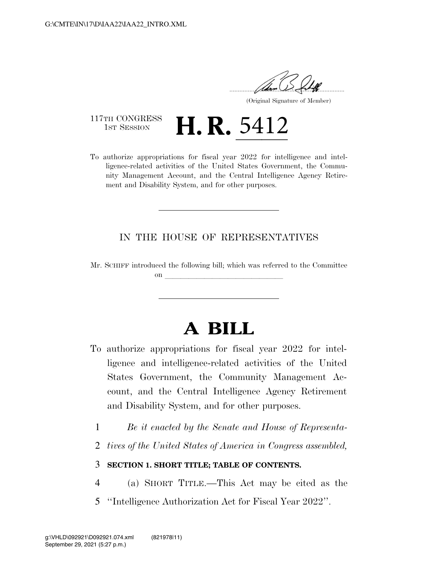.....................................................................

(Original Signature of Member)

117TH CONGRESS<br>1st Session

117TH CONGRESS  $\mathbf{H}$ ,  $\mathbf{R}$ ,  $5412$ <br>To authorize appropriations for fiscal year 2022 for intelligence and intelligence-related activities of the United States Government, the Community Management Account, and the Central Intelligence Agency Retirement and Disability System, and for other purposes.

## IN THE HOUSE OF REPRESENTATIVES

Mr. SCHIFF introduced the following bill; which was referred to the Committee on **later and later and later and later and later and later and later and later and later and later and later**  $\sim$ 

# **A BILL**

- To authorize appropriations for fiscal year 2022 for intelligence and intelligence-related activities of the United States Government, the Community Management Account, and the Central Intelligence Agency Retirement and Disability System, and for other purposes.
	- 1 *Be it enacted by the Senate and House of Representa-*
	- 2 *tives of the United States of America in Congress assembled,*

## 3 **SECTION 1. SHORT TITLE; TABLE OF CONTENTS.**

- 4 (a) SHORT TITLE.—This Act may be cited as the
- 5 ''Intelligence Authorization Act for Fiscal Year 2022''.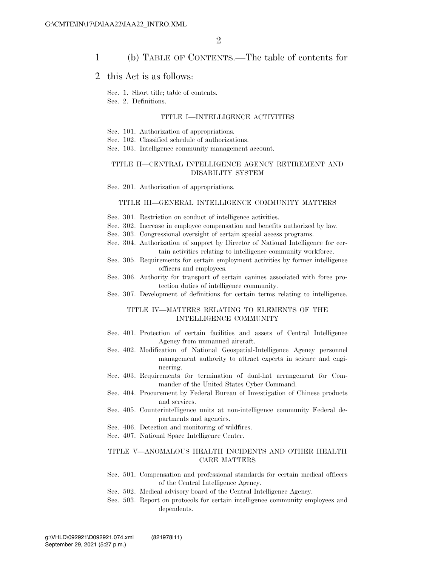### 1 (b) TABLE OF CONTENTS.—The table of contents for

### 2 this Act is as follows:

Sec. 1. Short title; table of contents.

Sec. 2. Definitions.

#### TITLE I—INTELLIGENCE ACTIVITIES

Sec. 101. Authorization of appropriations.

Sec. 102. Classified schedule of authorizations.

Sec. 103. Intelligence community management account.

### TITLE II—CENTRAL INTELLIGENCE AGENCY RETIREMENT AND DISABILITY SYSTEM

Sec. 201. Authorization of appropriations.

#### TITLE III—GENERAL INTELLIGENCE COMMUNITY MATTERS

Sec. 301. Restriction on conduct of intelligence activities.

- Sec. 302. Increase in employee compensation and benefits authorized by law.
- Sec. 303. Congressional oversight of certain special access programs.
- Sec. 304. Authorization of support by Director of National Intelligence for certain activities relating to intelligence community workforce.
- Sec. 305. Requirements for certain employment activities by former intelligence officers and employees.
- Sec. 306. Authority for transport of certain canines associated with force protection duties of intelligence community.
- Sec. 307. Development of definitions for certain terms relating to intelligence.

### TITLE IV—MATTERS RELATING TO ELEMENTS OF THE INTELLIGENCE COMMUNITY

- Sec. 401. Protection of certain facilities and assets of Central Intelligence Agency from unmanned aircraft.
- Sec. 402. Modification of National Geospatial-Intelligence Agency personnel management authority to attract experts in science and engineering.
- Sec. 403. Requirements for termination of dual-hat arrangement for Commander of the United States Cyber Command.
- Sec. 404. Procurement by Federal Bureau of Investigation of Chinese products and services.
- Sec. 405. Counterintelligence units at non-intelligence community Federal departments and agencies.
- Sec. 406. Detection and monitoring of wildfires.
- Sec. 407. National Space Intelligence Center.

#### TITLE V—ANOMALOUS HEALTH INCIDENTS AND OTHER HEALTH CARE MATTERS

- Sec. 501. Compensation and professional standards for certain medical officers of the Central Intelligence Agency.
- Sec. 502. Medical advisory board of the Central Intelligence Agency.
- Sec. 503. Report on protocols for certain intelligence community employees and dependents.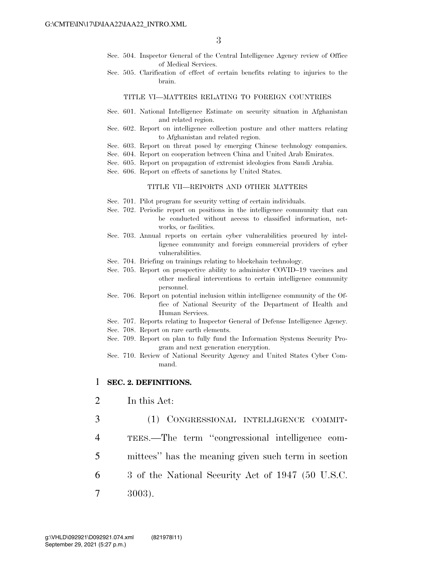- Sec. 504. Inspector General of the Central Intelligence Agency review of Office of Medical Services.
- Sec. 505. Clarification of effect of certain benefits relating to injuries to the brain.

#### TITLE VI—MATTERS RELATING TO FOREIGN COUNTRIES

- Sec. 601. National Intelligence Estimate on security situation in Afghanistan and related region.
- Sec. 602. Report on intelligence collection posture and other matters relating to Afghanistan and related region.
- Sec. 603. Report on threat posed by emerging Chinese technology companies.
- Sec. 604. Report on cooperation between China and United Arab Emirates.
- Sec. 605. Report on propagation of extremist ideologies from Saudi Arabia.
- Sec. 606. Report on effects of sanctions by United States.

#### TITLE VII—REPORTS AND OTHER MATTERS

- Sec. 701. Pilot program for security vetting of certain individuals.
- Sec. 702. Periodic report on positions in the intelligence community that can be conducted without access to classified information, networks, or facilities.
- Sec. 703. Annual reports on certain cyber vulnerabilities procured by intelligence community and foreign commercial providers of cyber vulnerabilities.
- Sec. 704. Briefing on trainings relating to blockchain technology.
- Sec. 705. Report on prospective ability to administer COVID–19 vaccines and other medical interventions to certain intelligence community personnel.
- Sec. 706. Report on potential inclusion within intelligence community of the Office of National Security of the Department of Health and Human Services.
- Sec. 707. Reports relating to Inspector General of Defense Intelligence Agency.
- Sec. 708. Report on rare earth elements.
- Sec. 709. Report on plan to fully fund the Information Systems Security Program and next generation encryption.
- Sec. 710. Review of National Security Agency and United States Cyber Command.

### 1 **SEC. 2. DEFINITIONS.**

- 2 In this Act:
- 3 (1) CONGRESSIONAL INTELLIGENCE COMMIT-
- 4 TEES.—The term ''congressional intelligence com-
- 5 mittees'' has the meaning given such term in section
- 6 3 of the National Security Act of 1947 (50 U.S.C.
- 7 3003).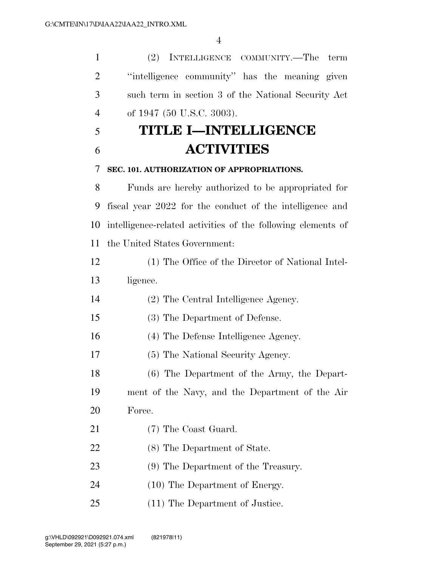(2) INTELLIGENCE COMMUNITY.—The term ''intelligence community'' has the meaning given such term in section 3 of the National Security Act of 1947 (50 U.S.C. 3003).

# **TITLE I—INTELLIGENCE ACTIVITIES**

### **SEC. 101. AUTHORIZATION OF APPROPRIATIONS.**

 Funds are hereby authorized to be appropriated for fiscal year 2022 for the conduct of the intelligence and intelligence-related activities of the following elements of the United States Government:

| 12 | (1) The Office of the Director of National Intel- |
|----|---------------------------------------------------|
| 13 | ligence.                                          |

- (2) The Central Intelligence Agency.
- (3) The Department of Defense.
- (4) The Defense Intelligence Agency.
- (5) The National Security Agency.

 (6) The Department of the Army, the Depart- ment of the Navy, and the Department of the Air Force.

- 21 (7) The Coast Guard.
- (8) The Department of State.
- (9) The Department of the Treasury.
- (10) The Department of Energy.
- (11) The Department of Justice.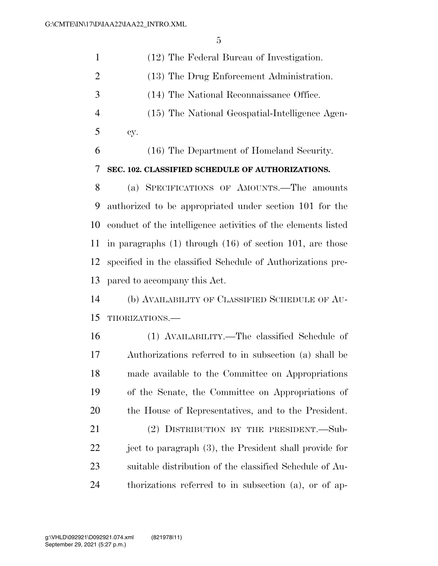| $\mathbf{1}$   | (12) The Federal Bureau of Investigation.                     |
|----------------|---------------------------------------------------------------|
| $\overline{2}$ | (13) The Drug Enforcement Administration.                     |
| 3              | (14) The National Reconnaissance Office.                      |
| $\overline{4}$ | (15) The National Geospatial-Intelligence Agen-               |
| 5              | cy.                                                           |
| 6              | (16) The Department of Homeland Security.                     |
| 7              | SEC. 102. CLASSIFIED SCHEDULE OF AUTHORIZATIONS.              |
| 8              | (a) SPECIFICATIONS OF AMOUNTS.—The amounts                    |
| 9              | authorized to be appropriated under section 101 for the       |
| 10             | conduct of the intelligence activities of the elements listed |
| 11             | in paragraphs $(1)$ through $(16)$ of section 101, are those  |
| 12             | specified in the classified Schedule of Authorizations pre-   |
| 13             | pared to accompany this Act.                                  |
|                |                                                               |
| 14             | (b) AVAILABILITY OF CLASSIFIED SCHEDULE OF AU-                |
| 15             | THORIZATIONS.-                                                |
| 16             | (1) AVAILABILITY.—The classified Schedule of                  |
| 17             | Authorizations referred to in subsection (a) shall be         |
| 18             | made available to the Committee on Appropriations             |
| 19             | of the Senate, the Committee on Appropriations of             |
| 20             | the House of Representatives, and to the President.           |
| 21             | (2) DISTRIBUTION BY THE PRESIDENT.—Sub-                       |
| 22             | ject to paragraph (3), the President shall provide for        |
| 23             | suitable distribution of the classified Schedule of Au-       |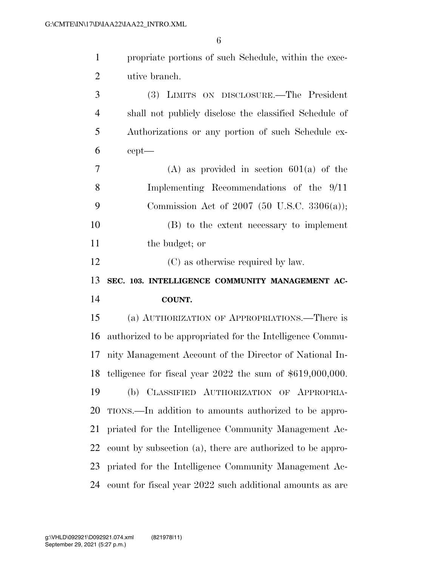| $\mathbf{1}$   | propriate portions of such Schedule, within the exec-         |
|----------------|---------------------------------------------------------------|
| $\overline{2}$ | utive branch.                                                 |
| 3              | (3) LIMITS ON DISCLOSURE.—The President                       |
| $\overline{4}$ | shall not publicly disclose the classified Schedule of        |
| 5              | Authorizations or any portion of such Schedule ex-            |
| 6              | $cept$ —                                                      |
| $\overline{7}$ | $(A)$ as provided in section 601(a) of the                    |
| 8              | Implementing Recommendations of the 9/11                      |
| 9              | Commission Act of 2007 (50 U.S.C. 3306(a));                   |
| 10             | (B) to the extent necessary to implement                      |
| 11             | the budget; or                                                |
| 12             | (C) as otherwise required by law.                             |
|                |                                                               |
| 13             | SEC. 103. INTELLIGENCE COMMUNITY MANAGEMENT AC-               |
| 14             | <b>COUNT.</b>                                                 |
| 15             | (a) AUTHORIZATION OF APPROPRIATIONS.—There is                 |
| 16             | authorized to be appropriated for the Intelligence Commu-     |
| 17             | nity Management Account of the Director of National In-       |
| 18             | telligence for fiscal year $2022$ the sum of $$619,000,000$ . |
| 19             | (b) CLASSIFIED AUTHORIZATION OF APPROPRIA-                    |
| 20             | TIONS.—In addition to amounts authorized to be appro-         |
| 21             | priated for the Intelligence Community Management Ac-         |
| 22             | count by subsection (a), there are authorized to be appro-    |
| 23             | priated for the Intelligence Community Management Ac-         |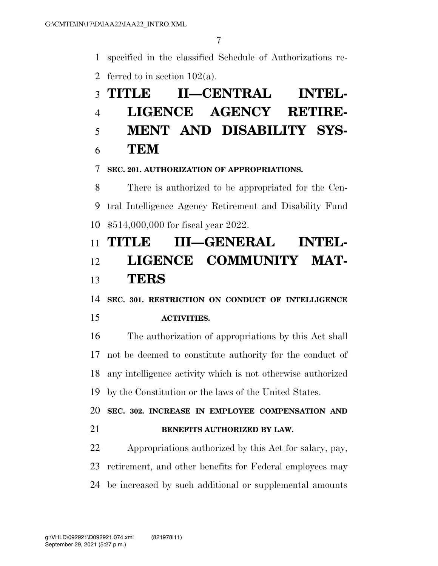specified in the classified Schedule of Authorizations re-

2 ferred to in section  $102(a)$ .

# **TITLE II—CENTRAL INTEL- LIGENCE AGENCY RETIRE- MENT AND DISABILITY SYS-TEM**

**SEC. 201. AUTHORIZATION OF APPROPRIATIONS.** 

 There is authorized to be appropriated for the Cen- tral Intelligence Agency Retirement and Disability Fund \$514,000,000 for fiscal year 2022.

# **TITLE III—GENERAL INTEL- LIGENCE COMMUNITY MAT-TERS**

**SEC. 301. RESTRICTION ON CONDUCT OF INTELLIGENCE** 

## **ACTIVITIES.**

 The authorization of appropriations by this Act shall not be deemed to constitute authority for the conduct of any intelligence activity which is not otherwise authorized by the Constitution or the laws of the United States.

 **SEC. 302. INCREASE IN EMPLOYEE COMPENSATION AND BENEFITS AUTHORIZED BY LAW.** 

 Appropriations authorized by this Act for salary, pay, retirement, and other benefits for Federal employees may be increased by such additional or supplemental amounts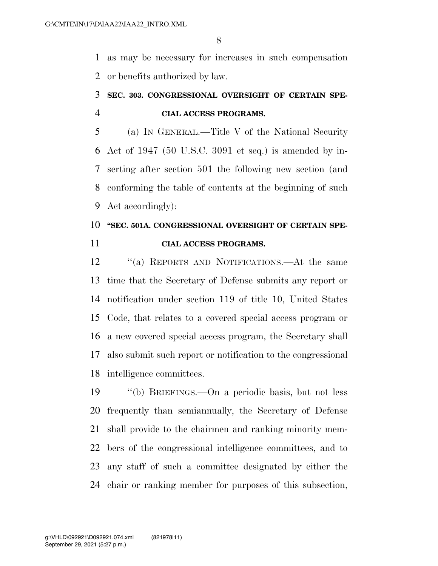as may be necessary for increases in such compensation or benefits authorized by law.

## **SEC. 303. CONGRESSIONAL OVERSIGHT OF CERTAIN SPE-CIAL ACCESS PROGRAMS.**

 (a) IN GENERAL.—Title V of the National Security Act of 1947 (50 U.S.C. 3091 et seq.) is amended by in- serting after section 501 the following new section (and conforming the table of contents at the beginning of such Act accordingly):

## **''SEC. 501A. CONGRESSIONAL OVERSIGHT OF CERTAIN SPE-CIAL ACCESS PROGRAMS.**

 ''(a) REPORTS AND NOTIFICATIONS.—At the same time that the Secretary of Defense submits any report or notification under section 119 of title 10, United States Code, that relates to a covered special access program or a new covered special access program, the Secretary shall also submit such report or notification to the congressional intelligence committees.

 ''(b) BRIEFINGS.—On a periodic basis, but not less frequently than semiannually, the Secretary of Defense shall provide to the chairmen and ranking minority mem- bers of the congressional intelligence committees, and to any staff of such a committee designated by either the chair or ranking member for purposes of this subsection,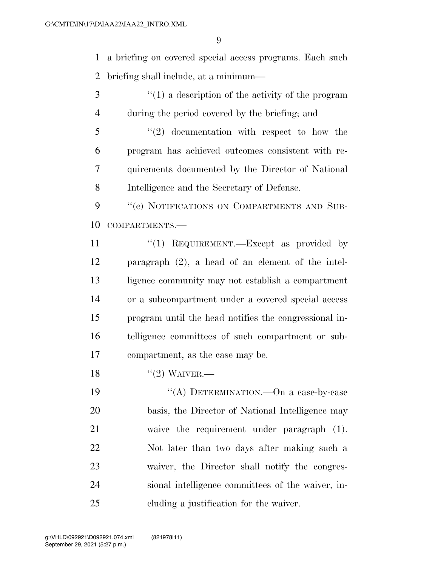a briefing on covered special access programs. Each such briefing shall include, at a minimum—

3 (1) a description of the activity of the program during the period covered by the briefing; and

 ''(2) documentation with respect to how the program has achieved outcomes consistent with re- quirements documented by the Director of National Intelligence and the Secretary of Defense.

9 "(c) NOTIFICATIONS ON COMPARTMENTS AND SUB-COMPARTMENTS.—

- ''(1) REQUIREMENT.—Except as provided by paragraph (2), a head of an element of the intel- ligence community may not establish a compartment or a subcompartment under a covered special access program until the head notifies the congressional in- telligence committees of such compartment or sub-compartment, as the case may be.
- 18  $((2)$  WAIVER.

19 "(A) DETERMINATION.—On a case-by-case basis, the Director of National Intelligence may waive the requirement under paragraph (1). Not later than two days after making such a waiver, the Director shall notify the congres- sional intelligence committees of the waiver, in-cluding a justification for the waiver.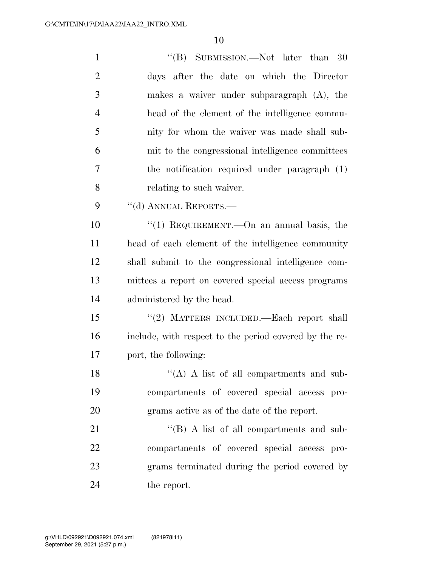| $\mathbf{1}$   | "(B) SUBMISSION.—Not later than 30                     |
|----------------|--------------------------------------------------------|
| $\overline{2}$ | days after the date on which the Director              |
| 3              | makes a waiver under subparagraph $(A)$ , the          |
| $\overline{4}$ | head of the element of the intelligence commu-         |
| 5              | nity for whom the waiver was made shall sub-           |
| 6              | mit to the congressional intelligence committees       |
| 7              | the notification required under paragraph (1)          |
| 8              | relating to such waiver.                               |
| 9              | "(d) ANNUAL REPORTS.—                                  |
| 10             | "(1) REQUIREMENT.—On an annual basis, the              |
| 11             | head of each element of the intelligence community     |
| 12             | shall submit to the congressional intelligence com-    |
| 13             | mittees a report on covered special access programs    |
| 14             | administered by the head.                              |
| 15             | "(2) MATTERS INCLUDED.—Each report shall               |
| 16             | include, with respect to the period covered by the re- |
| 17             | port, the following:                                   |
| 18             | $\lq\lq (A)$ A list of all compartments and sub-       |
| 19             | compartments of covered special access pro-            |
| 20             | grams active as of the date of the report.             |
| 21             | $\lq\lq (B)$ A list of all compartments and sub-       |
| 22             | compartments of covered special access pro-            |
| 23             | grams terminated during the period covered by          |
| 24             | the report.                                            |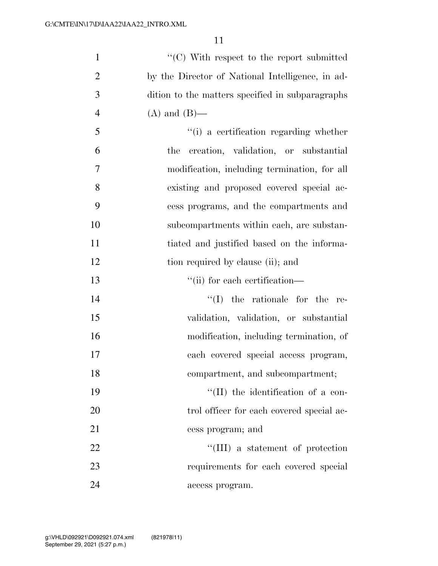| $\mathbf{1}$   | $\lq\lq$ <sup>c</sup> (C) With respect to the report submitted |
|----------------|----------------------------------------------------------------|
| $\overline{2}$ | by the Director of National Intelligence, in ad-               |
| 3              | dition to the matters specified in subparagraphs               |
| $\overline{4}$ | $(A)$ and $(B)$ —                                              |
| 5              | "(i) a certification regarding whether                         |
| 6              | creation, validation, or substantial<br>the                    |
| 7              | modification, including termination, for all                   |
| 8              | existing and proposed covered special ac-                      |
| 9              | cess programs, and the compartments and                        |
| 10             | subcompartments within each, are substan-                      |
| 11             | tiated and justified based on the informa-                     |
| 12             | tion required by clause (ii); and                              |
| 13             | "(ii) for each certification—                                  |
| 14             | the rationale for the<br>$\lq\lq (I)$<br>re-                   |
| 15             | validation, validation, or substantial                         |
| 16             | modification, including termination, of                        |
| 17             | each covered special access program,                           |
| 18             | compartment, and subcompartment;                               |
| 19             | $\lq\lq$ (II) the identification of a con-                     |
| 20             | trol officer for each covered special ac-                      |
| 21             | cess program; and                                              |
| 22             | $\lq\lq$ (III) a statement of protection                       |
| 23             | requirements for each covered special                          |
| 24             | access program.                                                |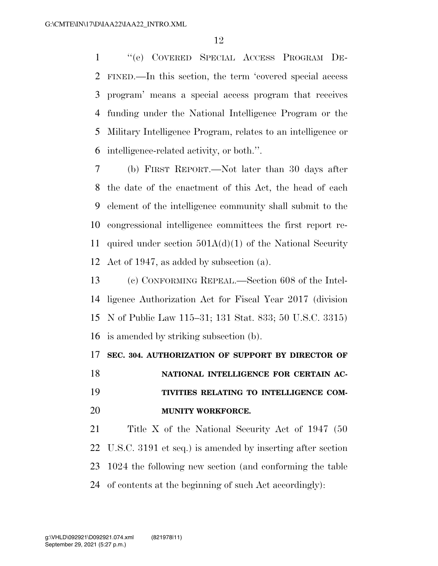''(e) COVERED SPECIAL ACCESS PROGRAM DE- FINED.—In this section, the term 'covered special access program' means a special access program that receives funding under the National Intelligence Program or the Military Intelligence Program, relates to an intelligence or intelligence-related activity, or both.''.

 (b) FIRST REPORT.—Not later than 30 days after the date of the enactment of this Act, the head of each element of the intelligence community shall submit to the congressional intelligence committees the first report re- quired under section 501A(d)(1) of the National Security Act of 1947, as added by subsection (a).

 (c) CONFORMING REPEAL.—Section 608 of the Intel- ligence Authorization Act for Fiscal Year 2017 (division N of Public Law 115–31; 131 Stat. 833; 50 U.S.C. 3315) is amended by striking subsection (b).

## **SEC. 304. AUTHORIZATION OF SUPPORT BY DIRECTOR OF**

**NATIONAL INTELLIGENCE FOR CERTAIN AC- TIVITIES RELATING TO INTELLIGENCE COM-MUNITY WORKFORCE.** 

 Title X of the National Security Act of 1947 (50 U.S.C. 3191 et seq.) is amended by inserting after section 1024 the following new section (and conforming the table of contents at the beginning of such Act accordingly):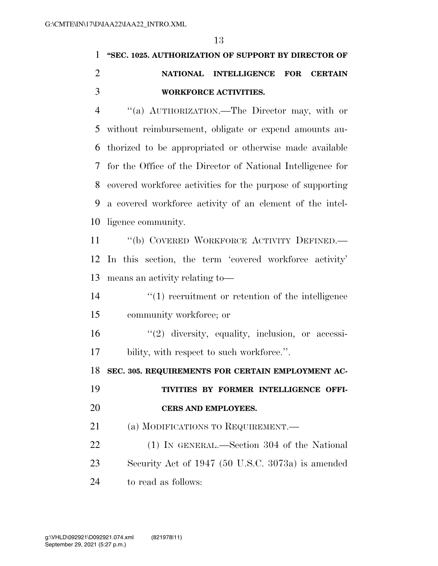# **''SEC. 1025. AUTHORIZATION OF SUPPORT BY DIRECTOR OF NATIONAL INTELLIGENCE FOR CERTAIN WORKFORCE ACTIVITIES.**

 ''(a) AUTHORIZATION.—The Director may, with or without reimbursement, obligate or expend amounts au- thorized to be appropriated or otherwise made available for the Office of the Director of National Intelligence for covered workforce activities for the purpose of supporting a covered workforce activity of an element of the intel-ligence community.

11 "(b) COVERED WORKFORCE ACTIVITY DEFINED.— In this section, the term 'covered workforce activity' means an activity relating to—

14 ''(1) recruitment or retention of the intelligence community workforce; or

 ''(2) diversity, equality, inclusion, or accessi-17 bility, with respect to such workforce.".

**SEC. 305. REQUIREMENTS FOR CERTAIN EMPLOYMENT AC-**

 **TIVITIES BY FORMER INTELLIGENCE OFFI-CERS AND EMPLOYEES.** 

21 (a) MODIFICATIONS TO REQUIREMENT.

 (1) IN GENERAL.—Section 304 of the National Security Act of 1947 (50 U.S.C. 3073a) is amended to read as follows: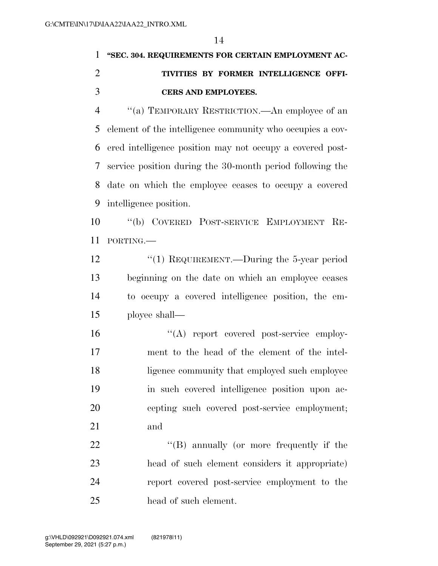# **''SEC. 304. REQUIREMENTS FOR CERTAIN EMPLOYMENT AC- TIVITIES BY FORMER INTELLIGENCE OFFI-CERS AND EMPLOYEES.**

 ''(a) TEMPORARY RESTRICTION.—An employee of an element of the intelligence community who occupies a cov- ered intelligence position may not occupy a covered post- service position during the 30-month period following the date on which the employee ceases to occupy a covered intelligence position.

 ''(b) COVERED POST-SERVICE EMPLOYMENT RE-PORTING.—

12 "(1) REQUIREMENT.—During the 5-year period beginning on the date on which an employee ceases to occupy a covered intelligence position, the em-ployee shall—

 $\langle (A) \rangle$  report covered post-service employ- ment to the head of the element of the intel- ligence community that employed such employee in such covered intelligence position upon ac- cepting such covered post-service employment; and

22 ''(B) annually (or more frequently if the head of such element considers it appropriate) report covered post-service employment to the head of such element.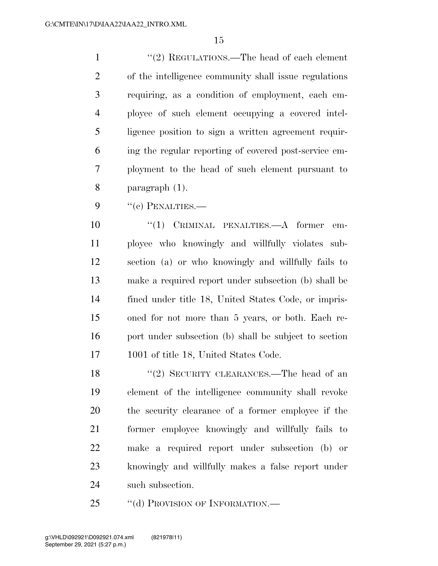1 ''(2) REGULATIONS.—The head of each element of the intelligence community shall issue regulations requiring, as a condition of employment, each em- ployee of such element occupying a covered intel- ligence position to sign a written agreement requir- ing the regular reporting of covered post-service em- ployment to the head of such element pursuant to paragraph (1).

9 "(c) PENALTIES.—

 $(1)$  CRIMINAL PENALTIES.—A former em- ployee who knowingly and willfully violates sub- section (a) or who knowingly and willfully fails to make a required report under subsection (b) shall be fined under title 18, United States Code, or impris- oned for not more than 5 years, or both. Each re- port under subsection (b) shall be subject to section 1001 of title 18, United States Code.

18 "(2) SECURITY CLEARANCES.—The head of an element of the intelligence community shall revoke the security clearance of a former employee if the former employee knowingly and willfully fails to make a required report under subsection (b) or knowingly and willfully makes a false report under such subsection.

25 "(d) PROVISION OF INFORMATION.—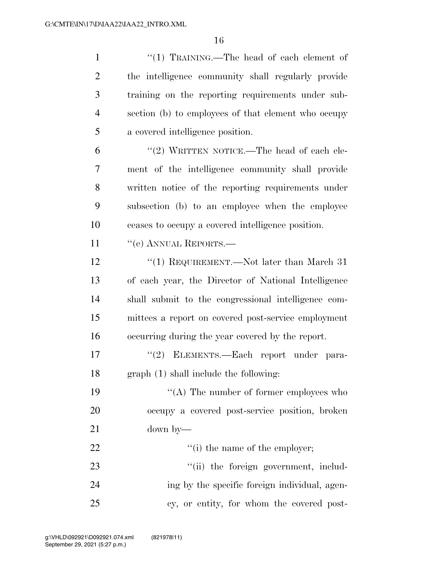| $\mathbf{1}$   | "(1) TRAINING.—The head of each element of          |
|----------------|-----------------------------------------------------|
| $\overline{2}$ | the intelligence community shall regularly provide  |
| 3              | training on the reporting requirements under sub-   |
| $\overline{4}$ | section (b) to employees of that element who occupy |
| 5              | a covered intelligence position.                    |
| 6              | "(2) WRITTEN NOTICE.—The head of each ele-          |
| 7              | ment of the intelligence community shall provide    |
| 8              | written notice of the reporting requirements under  |
| 9              | subsection (b) to an employee when the employee     |
| 10             | ceases to occupy a covered intelligence position.   |
| 11             | "(e) ANNUAL REPORTS.—                               |
| 12             | "(1) REQUIREMENT.—Not later than March 31           |
| 13             | of each year, the Director of National Intelligence |
| 14             | shall submit to the congressional intelligence com- |
| 15             | mittees a report on covered post-service employment |
| 16             | occurring during the year covered by the report.    |
| 17             | "(2) ELEMENTS.—Each report under para-              |
| 18             | graph (1) shall include the following:              |
| 19             | " $(A)$ The number of former employees who          |
| 20             | occupy a covered post-service position, broken      |
| 21             | $down$ by—                                          |
| 22             | "(i) the name of the employer;                      |
| 23             | "(ii) the foreign government, includ-               |
| 24             | ing by the specific foreign individual, agen-       |
| 25             | cy, or entity, for whom the covered post-           |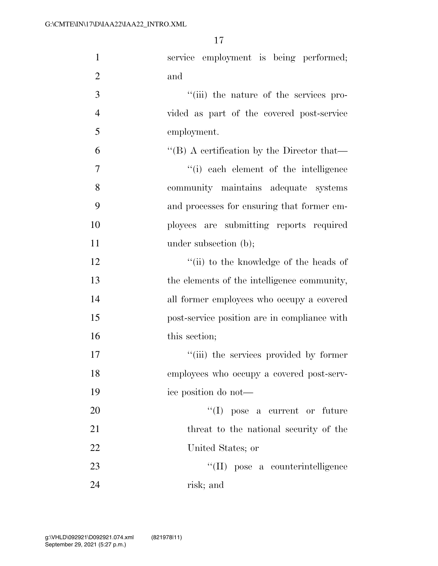| $\mathbf{1}$   | service employment is being performed;       |
|----------------|----------------------------------------------|
| $\overline{2}$ | and                                          |
| 3              | "(iii) the nature of the services pro-       |
| $\overline{4}$ | vided as part of the covered post-service    |
| 5              | employment.                                  |
| 6              | "(B) A certification by the Director that—   |
| 7              | "(i) each element of the intelligence        |
| 8              | community maintains adequate systems         |
| 9              | and processes for ensuring that former em-   |
| 10             | ployees are submitting reports required      |
| 11             | under subsection (b);                        |
| 12             | "(ii) to the knowledge of the heads of       |
| 13             | the elements of the intelligence community,  |
| 14             | all former employees who occupy a covered    |
| 15             | post-service position are in compliance with |
| 16             | this section;                                |
| 17             | "(iii) the services provided by former       |
| 18             | employees who occupy a covered post-serv-    |
| 19             | ice position do not-                         |
| 20             | $\lq\lq$ (I) pose a current or future        |
| 21             | threat to the national security of the       |
| 22             | United States; or                            |
| 23             | "(II) pose a counterintelligence             |
| 24             | risk; and                                    |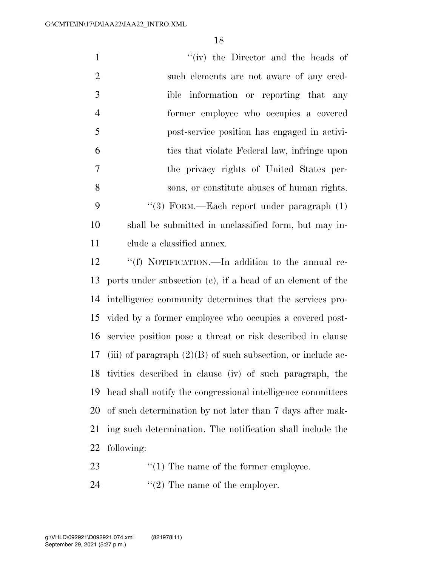| $\mathbf{1}$   | "(iv) the Director and the heads of                            |
|----------------|----------------------------------------------------------------|
| $\overline{2}$ | such elements are not aware of any cred-                       |
| 3              | ible information or reporting that any                         |
| $\overline{4}$ | former employee who occupies a covered                         |
| 5              | post-service position has engaged in activi-                   |
| 6              | ties that violate Federal law, infringe upon                   |
| $\overline{7}$ | the privacy rights of United States per-                       |
| 8              | sons, or constitute abuses of human rights.                    |
| 9              | "(3) FORM.—Each report under paragraph (1)                     |
| 10             | shall be submitted in unclassified form, but may in-           |
| 11             | clude a classified annex.                                      |
| 12             | "(f) NOTIFICATION.—In addition to the annual re-               |
| 13             | ports under subsection (e), if a head of an element of the     |
| 14             | intelligence community determines that the services pro-       |
| 15             | vided by a former employee who occupies a covered post-        |
| 16             | service position pose a threat or risk described in clause     |
| 17             | (iii) of paragraph $(2)(B)$ of such subsection, or include ac- |
| 18             | tivities described in clause (iv) of such paragraph, the       |
| 19             | head shall notify the congressional intelligence committees    |
| 20             | of such determination by not later than 7 days after mak-      |
| 21             | ing such determination. The notification shall include the     |
| 22             | following:                                                     |

- 23 ''(1) The name of the former employee.
- 24  $"(2)$  The name of the employer.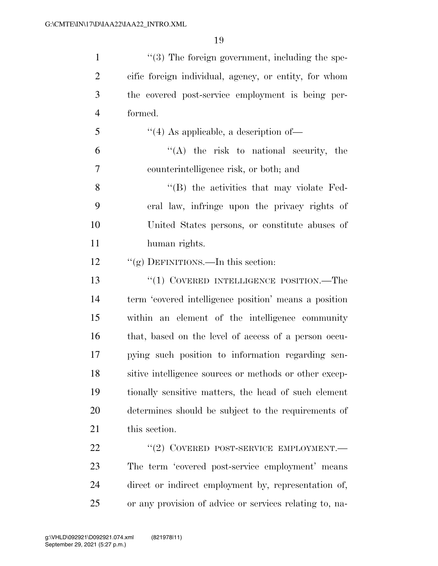| $\mathbf{1}$   | $\lq(3)$ The foreign government, including the spe-     |
|----------------|---------------------------------------------------------|
| $\overline{2}$ | cific foreign individual, agency, or entity, for whom   |
| 3              | the covered post-service employment is being per-       |
| $\overline{4}$ | formed.                                                 |
| 5              | $\cdot$ (4) As applicable, a description of —           |
| 6              | $\lq\lq$ the risk to national security, the             |
| 7              | counterintelligence risk, or both; and                  |
| 8              | $\lq\lq$ the activities that may violate Fed-           |
| 9              | eral law, infringe upon the privacy rights of           |
| 10             | United States persons, or constitute abuses of          |
| 11             | human rights.                                           |
| 12             | "(g) DEFINITIONS.—In this section:                      |
| 13             | " $(1)$ COVERED INTELLIGENCE POSITION.—The              |
| 14             | term 'covered intelligence position' means a position   |
| 15             | within an element of the intelligence community         |
| 16             | that, based on the level of access of a person occu-    |
| 17             | pying such position to information regarding sen-       |
| 18             | sitive intelligence sources or methods or other excep-  |
| 19             | tionally sensitive matters, the head of such element    |
| 20             | determines should be subject to the requirements of     |
| 21             | this section.                                           |
| 22             | "(2) COVERED POST-SERVICE EMPLOYMENT.                   |
| 23             | The term 'covered post-service employment' means        |
| 24             | direct or indirect employment by, representation of,    |
| 25             | or any provision of advice or services relating to, na- |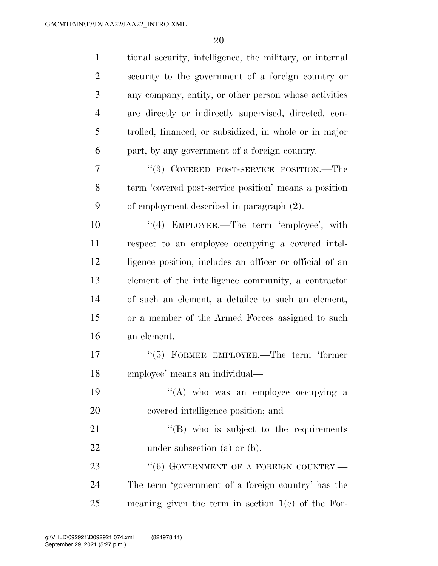| $\mathbf{1}$   | tional security, intelligence, the military, or internal |
|----------------|----------------------------------------------------------|
| $\overline{2}$ | security to the government of a foreign country or       |
| 3              | any company, entity, or other person whose activities    |
| $\overline{4}$ | are directly or indirectly supervised, directed, con-    |
| 5              | trolled, financed, or subsidized, in whole or in major   |
| 6              | part, by any government of a foreign country.            |
| 7              | "(3) COVERED POST-SERVICE POSITION.—The                  |
| 8              | term 'covered post-service position' means a position    |
| 9              | of employment described in paragraph (2).                |
| 10             | $\lq(4)$ EMPLOYEE.—The term 'employee', with             |
| 11             | respect to an employee occupying a covered intel-        |
| 12             | ligence position, includes an officer or official of an  |
| 13             | element of the intelligence community, a contractor      |
| 14             | of such an element, a detailee to such an element,       |
| 15             | or a member of the Armed Forces assigned to such         |
| 16             | an element.                                              |
| 17             | $(5)$ FORMER EMPLOYEE.—The term 'former'                 |
| 18             | employee' means an individual—                           |
| 19             | "(A) who was an employee occupying a                     |
| 20             | covered intelligence position; and                       |
| 21             | $\lq\lq$ (B) who is subject to the requirements          |
| 22             | under subsection (a) or $(b)$ .                          |
| 23             | $``(6)$ GOVERNMENT OF A FOREIGN COUNTRY.—                |
| 24             | The term 'government of a foreign country' has the       |
| 25             | meaning given the term in section $1(e)$ of the For-     |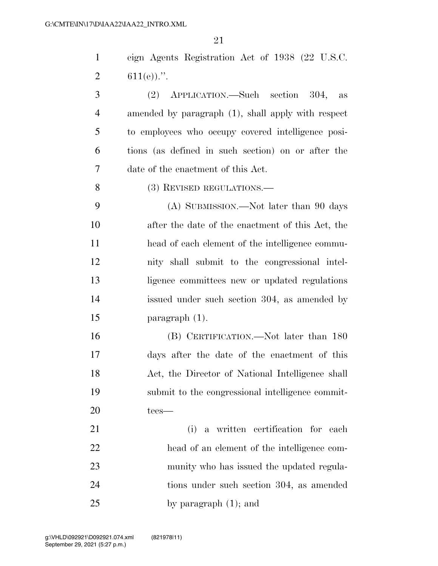eign Agents Registration Act of 1938 (22 U.S.C. 2  $611(e)$ .

 (2) APPLICATION.—Such section 304, as amended by paragraph (1), shall apply with respect to employees who occupy covered intelligence posi- tions (as defined in such section) on or after the date of the enactment of this Act.

8 (3) REVISED REGULATIONS.

 (A) SUBMISSION.—Not later than 90 days after the date of the enactment of this Act, the head of each element of the intelligence commu- nity shall submit to the congressional intel- ligence committees new or updated regulations issued under such section 304, as amended by paragraph (1).

 (B) CERTIFICATION.—Not later than 180 days after the date of the enactment of this Act, the Director of National Intelligence shall submit to the congressional intelligence commit-tees—

 (i) a written certification for each head of an element of the intelligence com- munity who has issued the updated regula- tions under such section 304, as amended by paragraph (1); and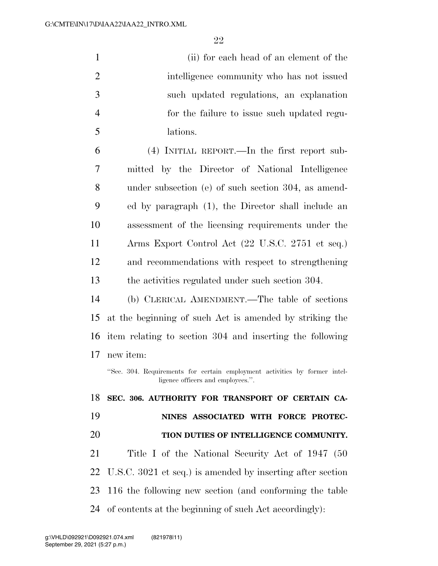| $\mathbf{1}$   | (ii) for each head of an element of the                                                                         |
|----------------|-----------------------------------------------------------------------------------------------------------------|
| $\overline{2}$ | intelligence community who has not issued                                                                       |
| 3              | such updated regulations, an explanation                                                                        |
| $\overline{4}$ | for the failure to issue such updated regu-                                                                     |
| 5              | lations.                                                                                                        |
| 6              | $(4)$ INITIAL REPORT.—In the first report sub-                                                                  |
| 7              | mitted by the Director of National Intelligence                                                                 |
| 8              | under subsection (e) of such section 304, as amend-                                                             |
| 9              | ed by paragraph (1), the Director shall include an                                                              |
| 10             | assessment of the licensing requirements under the                                                              |
| 11             | Arms Export Control Act (22 U.S.C. 2751 et seq.)                                                                |
| 12             | and recommendations with respect to strengthening                                                               |
| 13             | the activities regulated under such section 304.                                                                |
| 14             | (b) CLERICAL AMENDMENT.—The table of sections                                                                   |
| 15             | at the beginning of such Act is amended by striking the                                                         |
| 16             | item relating to section 304 and inserting the following                                                        |
| 17             | new item:                                                                                                       |
|                | "Sec. 304. Requirements for certain employment activities by former intel-<br>ligence officers and employees.". |
| 18             | SEC. 306. AUTHORITY FOR TRANSPORT OF CERTAIN CA-                                                                |
| 19             | NINES ASSOCIATED WITH FORCE PROTEC-                                                                             |
| 20             | TION DUTIES OF INTELLIGENCE COMMUNITY.                                                                          |
| 21             | Title I of the National Security Act of 1947 (50                                                                |
| 22             | U.S.C. 3021 et seq.) is amended by inserting after section                                                      |
| 23             | 116 the following new section (and conforming the table                                                         |
| 24             | of contents at the beginning of such Act accordingly):                                                          |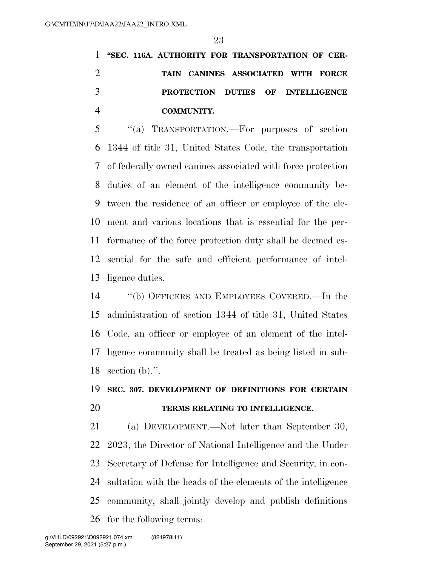**''SEC. 116A. AUTHORITY FOR TRANSPORTATION OF CER- TAIN CANINES ASSOCIATED WITH FORCE PROTECTION DUTIES OF INTELLIGENCE COMMUNITY.** 

 ''(a) TRANSPORTATION.—For purposes of section 1344 of title 31, United States Code, the transportation of federally owned canines associated with force protection duties of an element of the intelligence community be- tween the residence of an officer or employee of the ele- ment and various locations that is essential for the per- formance of the force protection duty shall be deemed es- sential for the safe and efficient performance of intel-ligence duties.

 ''(b) OFFICERS AND EMPLOYEES COVERED.—In the administration of section 1344 of title 31, United States Code, an officer or employee of an element of the intel- ligence community shall be treated as being listed in sub-section (b).''.

## **SEC. 307. DEVELOPMENT OF DEFINITIONS FOR CERTAIN TERMS RELATING TO INTELLIGENCE.**

 (a) DEVELOPMENT.—Not later than September 30, 2023, the Director of National Intelligence and the Under Secretary of Defense for Intelligence and Security, in con- sultation with the heads of the elements of the intelligence community, shall jointly develop and publish definitions for the following terms: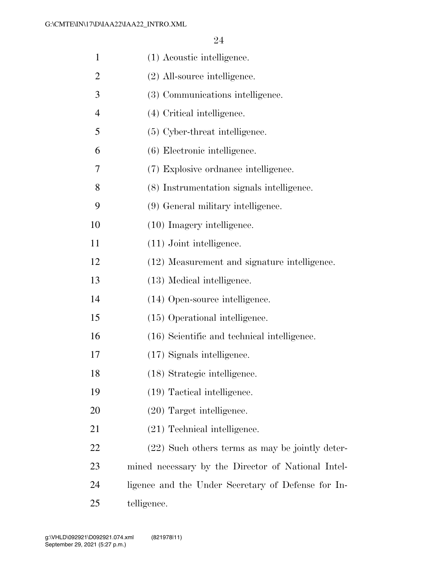| $\mathbf{1}$   | (1) Acoustic intelligence.                         |
|----------------|----------------------------------------------------|
| 2              | (2) All-source intelligence.                       |
| 3              | (3) Communications intelligence.                   |
| $\overline{4}$ | (4) Critical intelligence.                         |
| 5              | (5) Cyber-threat intelligence.                     |
| 6              | (6) Electronic intelligence.                       |
| 7              | (7) Explosive ordinance intelligence.              |
| 8              | (8) Instrumentation signals intelligence.          |
| 9              | (9) General military intelligence.                 |
| 10             | $(10)$ Imagery intelligence.                       |
| 11             | $(11)$ Joint intelligence.                         |
| 12             | (12) Measurement and signature intelligence.       |
| 13             | (13) Medical intelligence.                         |
| 14             | (14) Open-source intelligence.                     |
| 15             | (15) Operational intelligence.                     |
| 16             | (16) Scientific and technical intelligence.        |
| 17             | (17) Signals intelligence.                         |
| 18             | (18) Strategic intelligence.                       |
| 19             | (19) Tactical intelligence.                        |
| 20             | $(20)$ Target intelligence.                        |
| 21             | (21) Technical intelligence.                       |
| 22             | (22) Such others terms as may be jointly deter-    |
| 23             | mined necessary by the Director of National Intel- |
| 24             | ligence and the Under Secretary of Defense for In- |
| 25             | telligence.                                        |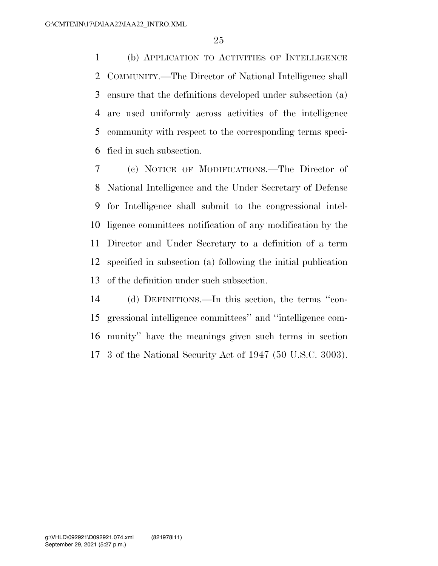(b) APPLICATION TO ACTIVITIES OF INTELLIGENCE COMMUNITY.—The Director of National Intelligence shall ensure that the definitions developed under subsection (a) are used uniformly across activities of the intelligence community with respect to the corresponding terms speci-fied in such subsection.

 (c) NOTICE OF MODIFICATIONS.—The Director of National Intelligence and the Under Secretary of Defense for Intelligence shall submit to the congressional intel- ligence committees notification of any modification by the Director and Under Secretary to a definition of a term specified in subsection (a) following the initial publication of the definition under such subsection.

 (d) DEFINITIONS.—In this section, the terms ''con- gressional intelligence committees'' and ''intelligence com- munity'' have the meanings given such terms in section 3 of the National Security Act of 1947 (50 U.S.C. 3003).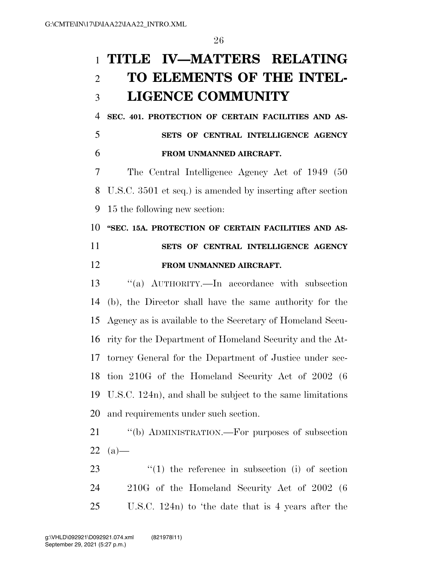# **TITLE IV—MATTERS RELATING TO ELEMENTS OF THE INTEL-LIGENCE COMMUNITY**

 **SEC. 401. PROTECTION OF CERTAIN FACILITIES AND AS-SETS OF CENTRAL INTELLIGENCE AGENCY** 

**FROM UNMANNED AIRCRAFT.** 

 The Central Intelligence Agency Act of 1949 (50 U.S.C. 3501 et seq.) is amended by inserting after section 15 the following new section:

## **''SEC. 15A. PROTECTION OF CERTAIN FACILITIES AND AS- SETS OF CENTRAL INTELLIGENCE AGENCY FROM UNMANNED AIRCRAFT.**

 ''(a) AUTHORITY.—In accordance with subsection (b), the Director shall have the same authority for the Agency as is available to the Secretary of Homeland Secu- rity for the Department of Homeland Security and the At- torney General for the Department of Justice under sec- tion 210G of the Homeland Security Act of 2002 (6 U.S.C. 124n), and shall be subject to the same limitations and requirements under such section.

 ''(b) ADMINISTRATION.—For purposes of subsection  $22 \text{ (a)}-$ 

23  $\frac{1}{2}$  (1) the reference in subsection (i) of section 210G of the Homeland Security Act of 2002 (6 U.S.C. 124n) to 'the date that is 4 years after the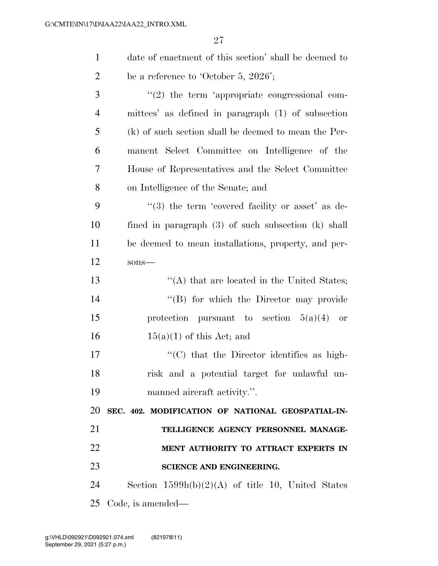| $\mathbf{1}$   | date of enactment of this section' shall be deemed to   |
|----------------|---------------------------------------------------------|
| $\overline{2}$ | be a reference to 'October 5, 2026';                    |
| 3              | $\lq(2)$ the term 'appropriate congressional com-       |
| $\overline{4}$ | mittees' as defined in paragraph (1) of subsection      |
| 5              | (k) of such section shall be deemed to mean the Per-    |
| 6              | manent Select Committee on Intelligence of the          |
| 7              | House of Representatives and the Select Committee       |
| 8              | on Intelligence of the Senate; and                      |
| 9              | $(3)$ the term 'covered facility or asset' as de-       |
| 10             | fined in paragraph $(3)$ of such subsection $(k)$ shall |
| 11             | be deemed to mean installations, property, and per-     |
| 12             | sons-                                                   |
| 13             | $\lq\lq$ that are located in the United States;         |
| 14             | "(B) for which the Director may provide                 |
| 15             | protection pursuant to section $5(a)(4)$ or             |
| 16             | $15(a)(1)$ of this Act; and                             |
| 17             | "(C) that the Director identifies as high-              |
| 18             | risk and a potential target for unlawful un-            |
| 19             | manned aircraft activity.".                             |
| 20             | SEC. 402. MODIFICATION OF NATIONAL GEOSPATIAL-IN-       |
| 21             | TELLIGENCE AGENCY PERSONNEL MANAGE-                     |
| 22             | MENT AUTHORITY TO ATTRACT EXPERTS IN                    |
| 23             | SCIENCE AND ENGINEERING.                                |
| 24             | Section $1599h(b)(2)(A)$ of title 10, United States     |
| 25             | Code, is amended—                                       |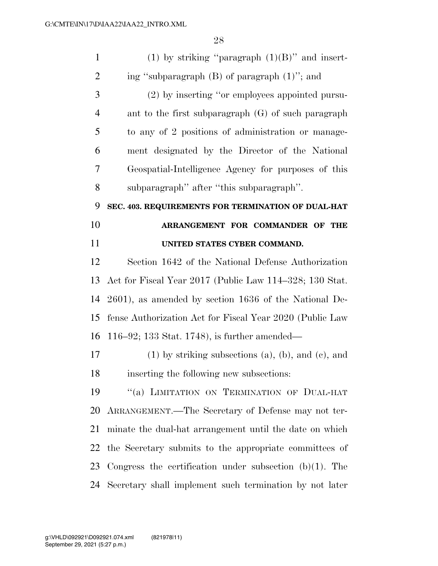| $\mathbf{1}$   | (1) by striking "paragraph $(1)(B)$ " and insert-             |
|----------------|---------------------------------------------------------------|
| $\overline{2}$ | ing "subparagraph $(B)$ of paragraph $(1)$ "; and             |
| 3              | (2) by inserting "or employees appointed pursu-               |
| $\overline{4}$ | ant to the first subparagraph $(G)$ of such paragraph         |
| 5              | to any of 2 positions of administration or manage-            |
| 6              | ment designated by the Director of the National               |
| 7              | Geospatial-Intelligence Agency for purposes of this           |
| 8              | subparagraph" after "this subparagraph".                      |
| 9              | SEC. 403. REQUIREMENTS FOR TERMINATION OF DUAL-HAT            |
| 10             | ARRANGEMENT FOR COMMANDER OF THE                              |
| 11             | UNITED STATES CYBER COMMAND.                                  |
| 12             | Section 1642 of the National Defense Authorization            |
| 13             | Act for Fiscal Year 2017 (Public Law 114–328; 130 Stat.       |
| 14             | $2601$ , as amended by section $1636$ of the National De-     |
| 15             | fense Authorization Act for Fiscal Year 2020 (Public Law      |
| 16             | 116–92; 133 Stat. 1748), is further amended—                  |
| 17             | $(1)$ by striking subsections $(a)$ , $(b)$ , and $(c)$ , and |
| 18             | inserting the following new subsections:                      |
| 19             | "(a) LIMITATION ON TERMINATION OF DUAL-HAT                    |
| 20             | ARRANGEMENT.—The Secretary of Defense may not ter-            |
| 21             | minate the dual-hat arrangement until the date on which       |
| 22             | the Secretary submits to the appropriate committees of        |
| 23             | Congress the certification under subsection $(b)(1)$ . The    |
| 24             | Secretary shall implement such termination by not later       |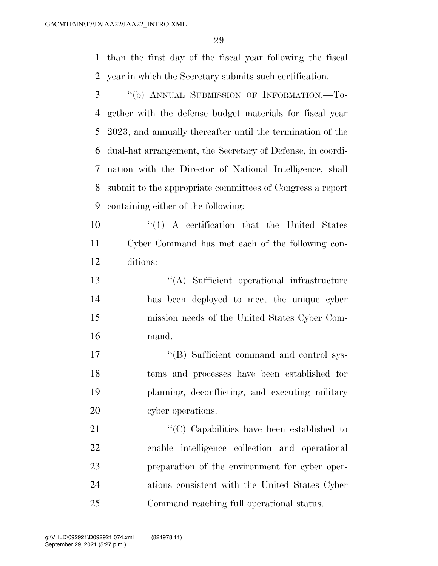than the first day of the fiscal year following the fiscal year in which the Secretary submits such certification.

- ''(b) ANNUAL SUBMISSION OF INFORMATION.—To- gether with the defense budget materials for fiscal year 2023, and annually thereafter until the termination of the dual-hat arrangement, the Secretary of Defense, in coordi- nation with the Director of National Intelligence, shall submit to the appropriate committees of Congress a report containing either of the following:
- 10  $\frac{1}{10}$  A certification that the United States Cyber Command has met each of the following con-ditions:
- ''(A) Sufficient operational infrastructure has been deployed to meet the unique cyber mission needs of the United States Cyber Com-mand.
- 17 ''(B) Sufficient command and control sys- tems and processes have been established for planning, deconflicting, and executing military 20 cyber operations.
- 21 ''(C) Capabilities have been established to enable intelligence collection and operational preparation of the environment for cyber oper- ations consistent with the United States Cyber Command reaching full operational status.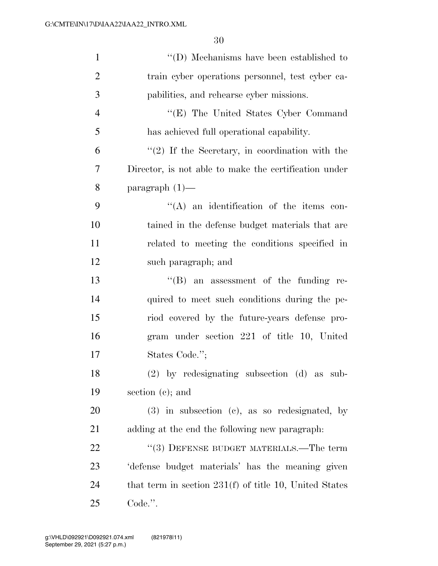| $\mathbf{1}$   | $\lq\lq$ (D) Mechanisms have been established to         |
|----------------|----------------------------------------------------------|
| $\overline{2}$ | train cyber operations personnel, test cyber ca-         |
| 3              | pabilities, and rehearse cyber missions.                 |
| $\overline{4}$ | "(E) The United States Cyber Command                     |
| 5              | has achieved full operational capability.                |
| 6              | $f'(2)$ If the Secretary, in coordination with the       |
| 7              | Director, is not able to make the certification under    |
| 8              | paragraph $(1)$ —                                        |
| 9              | $\lq\lq$ an identification of the items con-             |
| 10             | tained in the defense budget materials that are          |
| 11             | related to meeting the conditions specified in           |
| 12             | such paragraph; and                                      |
| 13             | $\lq\lq (B)$ an assessment of the funding re-            |
| 14             | quired to meet such conditions during the pe-            |
| 15             | riod covered by the future-years defense pro-            |
| 16             | gram under section 221 of title 10, United               |
| 17             | States Code.";                                           |
| 18             | (2) by redesignating subsection (d) as sub-              |
| 19             | section $(e)$ ; and                                      |
| 20             | $(3)$ in subsection $(e)$ , as so redesignated, by       |
| 21             | adding at the end the following new paragraph:           |
| 22             | "(3) DEFENSE BUDGET MATERIALS.—The term                  |
| 23             | defense budget materials' has the meaning given          |
| 24             | that term in section $231(f)$ of title 10, United States |
| 25             | Code.".                                                  |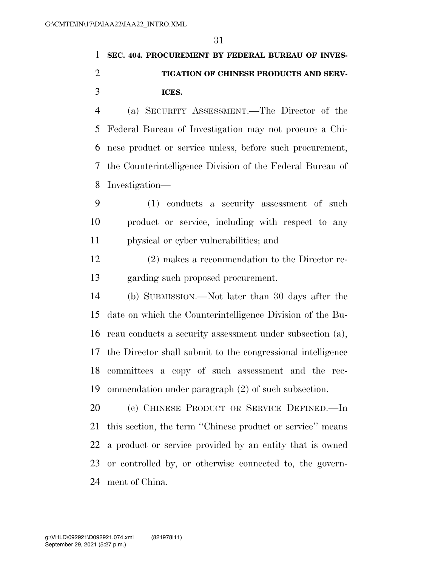## **SEC. 404. PROCUREMENT BY FEDERAL BUREAU OF INVES- TIGATION OF CHINESE PRODUCTS AND SERV-ICES.**

 (a) SECURITY ASSESSMENT.—The Director of the Federal Bureau of Investigation may not procure a Chi- nese product or service unless, before such procurement, the Counterintelligence Division of the Federal Bureau of Investigation—

 (1) conducts a security assessment of such product or service, including with respect to any physical or cyber vulnerabilities; and

 (2) makes a recommendation to the Director re-garding such proposed procurement.

 (b) SUBMISSION.—Not later than 30 days after the date on which the Counterintelligence Division of the Bu- reau conducts a security assessment under subsection (a), the Director shall submit to the congressional intelligence committees a copy of such assessment and the rec-ommendation under paragraph (2) of such subsection.

 (c) CHINESE PRODUCT OR SERVICE DEFINED.—In this section, the term ''Chinese product or service'' means a product or service provided by an entity that is owned or controlled by, or otherwise connected to, the govern-ment of China.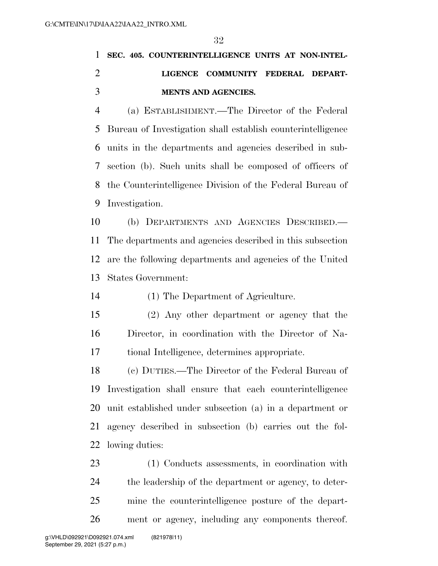# **SEC. 405. COUNTERINTELLIGENCE UNITS AT NON-INTEL- LIGENCE COMMUNITY FEDERAL DEPART-MENTS AND AGENCIES.**

 (a) ESTABLISHMENT.—The Director of the Federal Bureau of Investigation shall establish counterintelligence units in the departments and agencies described in sub- section (b). Such units shall be composed of officers of the Counterintelligence Division of the Federal Bureau of Investigation.

 (b) DEPARTMENTS AND AGENCIES DESCRIBED.— The departments and agencies described in this subsection are the following departments and agencies of the United States Government:

(1) The Department of Agriculture.

 (2) Any other department or agency that the Director, in coordination with the Director of Na-tional Intelligence, determines appropriate.

 (c) DUTIES.—The Director of the Federal Bureau of Investigation shall ensure that each counterintelligence unit established under subsection (a) in a department or agency described in subsection (b) carries out the fol-lowing duties:

 (1) Conducts assessments, in coordination with the leadership of the department or agency, to deter- mine the counterintelligence posture of the depart-ment or agency, including any components thereof.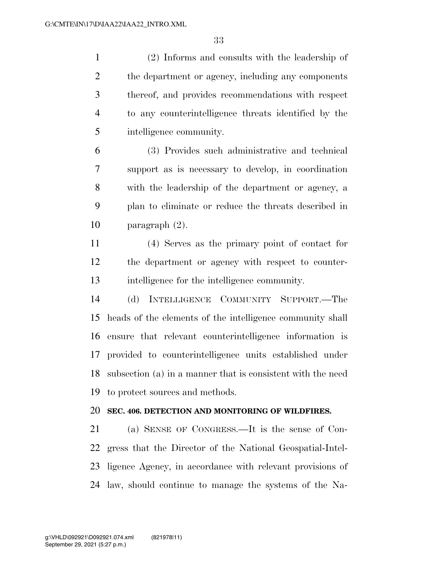(2) Informs and consults with the leadership of 2 the department or agency, including any components thereof, and provides recommendations with respect to any counterintelligence threats identified by the intelligence community.

 (3) Provides such administrative and technical support as is necessary to develop, in coordination with the leadership of the department or agency, a plan to eliminate or reduce the threats described in paragraph (2).

 (4) Serves as the primary point of contact for the department or agency with respect to counter-intelligence for the intelligence community.

 (d) INTELLIGENCE COMMUNITY SUPPORT.—The heads of the elements of the intelligence community shall ensure that relevant counterintelligence information is provided to counterintelligence units established under subsection (a) in a manner that is consistent with the need to protect sources and methods.

### **SEC. 406. DETECTION AND MONITORING OF WILDFIRES.**

 (a) SENSE OF CONGRESS.—It is the sense of Con- gress that the Director of the National Geospatial-Intel- ligence Agency, in accordance with relevant provisions of law, should continue to manage the systems of the Na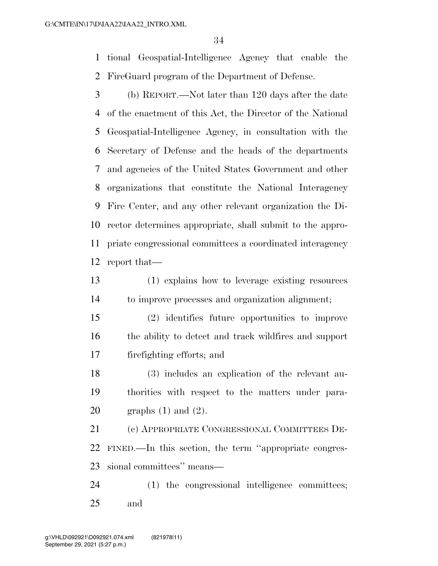tional Geospatial-Intelligence Agency that enable the FireGuard program of the Department of Defense.

 (b) REPORT.—Not later than 120 days after the date of the enactment of this Act, the Director of the National Geospatial-Intelligence Agency, in consultation with the Secretary of Defense and the heads of the departments and agencies of the United States Government and other organizations that constitute the National Interagency Fire Center, and any other relevant organization the Di- rector determines appropriate, shall submit to the appro- priate congressional committees a coordinated interagency report that—

 (1) explains how to leverage existing resources to improve processes and organization alignment;

 (2) identifies future opportunities to improve the ability to detect and track wildfires and support firefighting efforts; and

 (3) includes an explication of the relevant au- thorities with respect to the matters under para-graphs (1) and (2).

 (c) APPROPRIATE CONGRESSIONAL COMMITTEES DE- FINED.—In this section, the term ''appropriate congres-sional committees'' means—

 (1) the congressional intelligence committees; and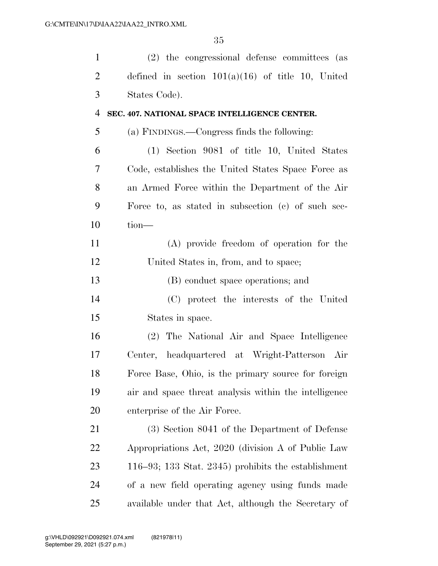| $\mathbf{1}$   | (2) the congressional defense committees (as          |
|----------------|-------------------------------------------------------|
| $\overline{2}$ | defined in section $101(a)(16)$ of title 10, United   |
| 3              | States Code).                                         |
| $\overline{4}$ | SEC. 407. NATIONAL SPACE INTELLIGENCE CENTER.         |
| 5              | (a) FINDINGS.—Congress finds the following:           |
| 6              | (1) Section 9081 of title 10, United States           |
| 7              | Code, establishes the United States Space Force as    |
| 8              | an Armed Force within the Department of the Air       |
| 9              | Force to, as stated in subsection (c) of such sec-    |
| 10             | $tion$ —                                              |
| 11             | (A) provide freedom of operation for the              |
| 12             | United States in, from, and to space;                 |
| 13             | (B) conduct space operations; and                     |
| 14             | (C) protect the interests of the United               |
| 15             | States in space.                                      |
| 16             | (2) The National Air and Space Intelligence           |
| 17             | Center, headquartered at Wright-Patterson Air         |
| 18             | Force Base, Ohio, is the primary source for foreign   |
| 19             | air and space threat analysis within the intelligence |
| 20             | enterprise of the Air Force.                          |
| 21             | (3) Section 8041 of the Department of Defense         |
| 22             | Appropriations Act, 2020 (division A of Public Law    |
| 23             | 116–93; 133 Stat. 2345) prohibits the establishment   |
| 24             | of a new field operating agency using funds made      |
| 25             | available under that Act, although the Secretary of   |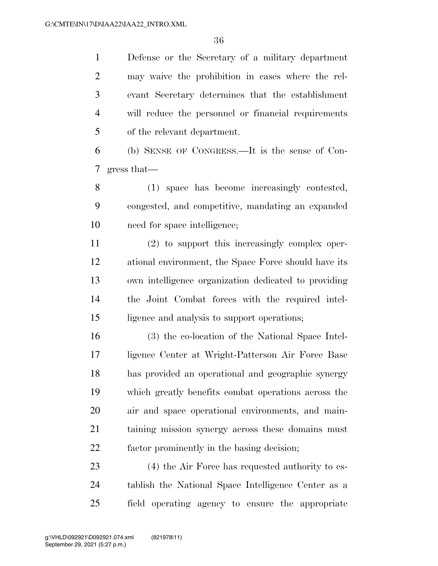Defense or the Secretary of a military department may waive the prohibition in cases where the rel- evant Secretary determines that the establishment will reduce the personnel or financial requirements of the relevant department.

 (b) SENSE OF CONGRESS.—It is the sense of Con-gress that—

 (1) space has become increasingly contested, congested, and competitive, mandating an expanded need for space intelligence;

 (2) to support this increasingly complex oper- ational environment, the Space Force should have its own intelligence organization dedicated to providing the Joint Combat forces with the required intel-ligence and analysis to support operations;

 (3) the co-location of the National Space Intel- ligence Center at Wright-Patterson Air Force Base has provided an operational and geographic synergy which greatly benefits combat operations across the air and space operational environments, and main- taining mission synergy across these domains must factor prominently in the basing decision;

 (4) the Air Force has requested authority to es- tablish the National Space Intelligence Center as a field operating agency to ensure the appropriate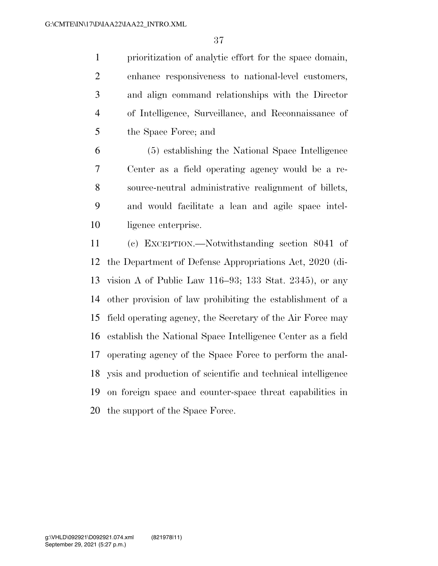prioritization of analytic effort for the space domain, enhance responsiveness to national-level customers, and align command relationships with the Director of Intelligence, Surveillance, and Reconnaissance of the Space Force; and

 (5) establishing the National Space Intelligence Center as a field operating agency would be a re- source-neutral administrative realignment of billets, and would facilitate a lean and agile space intel-ligence enterprise.

 (c) EXCEPTION.—Notwithstanding section 8041 of the Department of Defense Appropriations Act, 2020 (di- vision A of Public Law 116–93; 133 Stat. 2345), or any other provision of law prohibiting the establishment of a field operating agency, the Secretary of the Air Force may establish the National Space Intelligence Center as a field operating agency of the Space Force to perform the anal- ysis and production of scientific and technical intelligence on foreign space and counter-space threat capabilities in the support of the Space Force.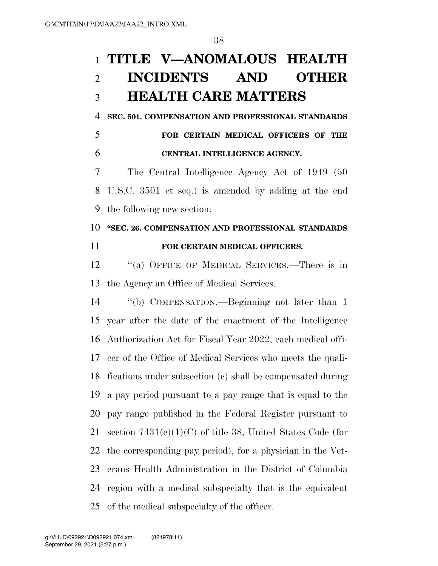## **TITLE V—ANOMALOUS HEALTH INCIDENTS AND OTHER HEALTH CARE MATTERS**

**SEC. 501. COMPENSATION AND PROFESSIONAL STANDARDS** 

 **FOR CERTAIN MEDICAL OFFICERS OF THE CENTRAL INTELLIGENCE AGENCY.** 

 The Central Intelligence Agency Act of 1949 (50 U.S.C. 3501 et seq.) is amended by adding at the end the following new section:

### **''SEC. 26. COMPENSATION AND PROFESSIONAL STANDARDS FOR CERTAIN MEDICAL OFFICERS.**

 ''(a) OFFICE OF MEDICAL SERVICES.—There is in the Agency an Office of Medical Services.

 ''(b) COMPENSATION.—Beginning not later than 1 year after the date of the enactment of the Intelligence Authorization Act for Fiscal Year 2022, each medical offi- cer of the Office of Medical Services who meets the quali- fications under subsection (c) shall be compensated during a pay period pursuant to a pay range that is equal to the pay range published in the Federal Register pursuant to section 7431(e)(1)(C) of title 38, United States Code (for the corresponding pay period), for a physician in the Vet- erans Health Administration in the District of Columbia region with a medical subspecialty that is the equivalent of the medical subspecialty of the officer.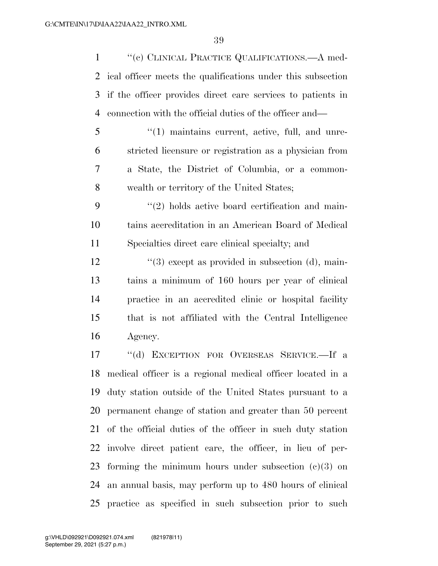1 "(c) CLINICAL PRACTICE QUALIFICATIONS.—A med- ical officer meets the qualifications under this subsection if the officer provides direct care services to patients in connection with the official duties of the officer and—

 ''(1) maintains current, active, full, and unre- stricted licensure or registration as a physician from a State, the District of Columbia, or a common-wealth or territory of the United States;

9  $(2)$  holds active board certification and main- tains accreditation in an American Board of Medical Specialties direct care clinical specialty; and

 $\frac{12}{2}$  ''(3) except as provided in subsection (d), main- tains a minimum of 160 hours per year of clinical practice in an accredited clinic or hospital facility that is not affiliated with the Central Intelligence Agency.

 ''(d) EXCEPTION FOR OVERSEAS SERVICE.—If a medical officer is a regional medical officer located in a duty station outside of the United States pursuant to a permanent change of station and greater than 50 percent of the official duties of the officer in such duty station involve direct patient care, the officer, in lieu of per-23 forming the minimum hours under subsection  $(c)(3)$  on an annual basis, may perform up to 480 hours of clinical practice as specified in such subsection prior to such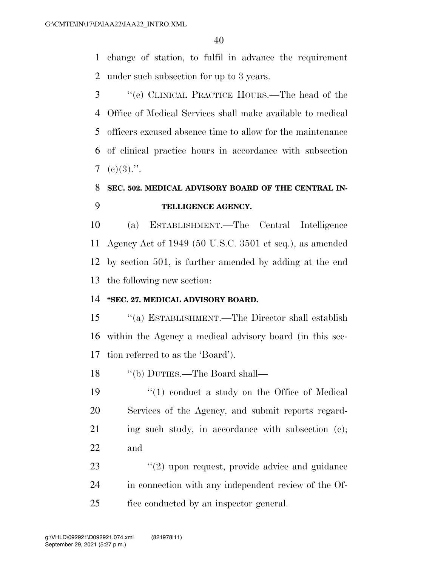change of station, to fulfil in advance the requirement under such subsection for up to 3 years.

 ''(e) CLINICAL PRACTICE HOURS.—The head of the Office of Medical Services shall make available to medical officers excused absence time to allow for the maintenance of clinical practice hours in accordance with subsection 7 (e)(3).".

## **SEC. 502. MEDICAL ADVISORY BOARD OF THE CENTRAL IN-TELLIGENCE AGENCY.**

 (a) ESTABLISHMENT.—The Central Intelligence Agency Act of 1949 (50 U.S.C. 3501 et seq.), as amended by section 501, is further amended by adding at the end the following new section:

#### **''SEC. 27. MEDICAL ADVISORY BOARD.**

 ''(a) ESTABLISHMENT.—The Director shall establish within the Agency a medical advisory board (in this sec-tion referred to as the 'Board').

''(b) DUTIES.—The Board shall—

- 19 ''(1) conduct a study on the Office of Medical Services of the Agency, and submit reports regard-21 ing such study, in accordance with subsection (c); and
- 23  $(2)$  upon request, provide advice and guidance in connection with any independent review of the Of-fice conducted by an inspector general.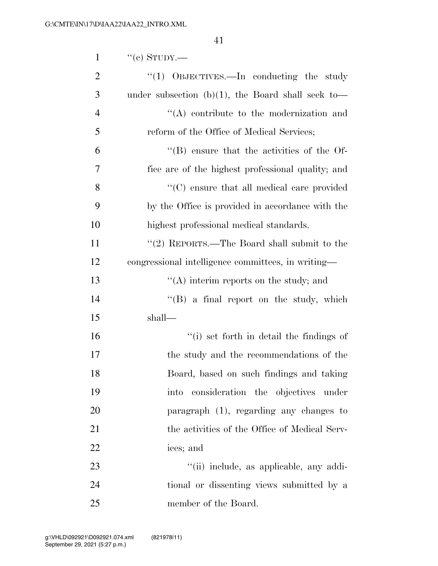| $\mathbf{1}$   | $``$ (c) STUDY.—                                   |
|----------------|----------------------------------------------------|
| $\overline{2}$ | "(1) OBJECTIVES.—In conducting the study           |
| 3              | under subsection (b)(1), the Board shall seek to-  |
| $\overline{4}$ | $\lq\lq$ contribute to the modernization and       |
| 5              | reform of the Office of Medical Services;          |
| 6              | $\cdot$ (B) ensure that the activities of the Of-  |
| 7              | fice are of the highest professional quality; and  |
| 8              | $\lq\lq$ ensure that all medical care provided     |
| 9              | by the Office is provided in accordance with the   |
| 10             | highest professional medical standards.            |
| 11             | "(2) REPORTS.—The Board shall submit to the        |
| 12             | congressional intelligence committees, in writing— |
| 13             | $\lq\lq$ interim reports on the study; and         |
| 14             | $\lq\lq (B)$ a final report on the study, which    |
| 15             | shall—                                             |
| 16             | "(i) set forth in detail the findings of           |
| 17             | the study and the recommendations of the           |
| 18             | Board, based on such findings and taking           |
| 19             | into consideration the objectives under            |
| 20             | paragraph $(1)$ , regarding any changes to         |
| 21             | the activities of the Office of Medical Serv-      |
| 22             | ices; and                                          |
| 23             | "(ii) include, as applicable, any addi-            |
| 24             | tional or dissenting views submitted by a          |
| 25             | member of the Board.                               |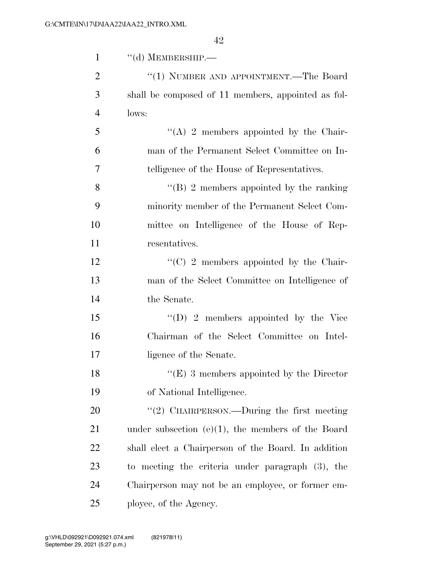| $\mathbf{1}$   | $\lq\lq$ (d) MEMBERSHIP.—                            |
|----------------|------------------------------------------------------|
| $\overline{2}$ | "(1) NUMBER AND APPOINTMENT.—The Board               |
| 3              | shall be composed of 11 members, appointed as fol-   |
| $\overline{4}$ | lows:                                                |
| 5              | "(A) 2 members appointed by the Chair-               |
| 6              | man of the Permanent Select Committee on In-         |
| 7              | telligence of the House of Representatives.          |
| 8              | $\lq\lq (B)$ 2 members appointed by the ranking      |
| 9              | minority member of the Permanent Select Com-         |
| 10             | mittee on Intelligence of the House of Rep-          |
| 11             | resentatives.                                        |
| 12             | $\lq\lq$ (C) 2 members appointed by the Chair-       |
| 13             | man of the Select Committee on Intelligence of       |
| 14             | the Senate.                                          |
| 15             | $\lq\lq$ (D) 2 members appointed by the Vice         |
| 16             | Chairman of the Select Committee on Intel-           |
| 17             | ligence of the Senate.                               |
| 18             | $\lq\lq(E)$ 3 members appointed by the Director      |
| 19             | of National Intelligence.                            |
| 20             | "(2) CHAIRPERSON.—During the first meeting           |
| 21             | under subsection $(e)(1)$ , the members of the Board |
| 22             | shall elect a Chairperson of the Board. In addition  |
| 23             | to meeting the criteria under paragraph (3), the     |
| 24             | Chairperson may not be an employee, or former em-    |
| 25             | ployee, of the Agency.                               |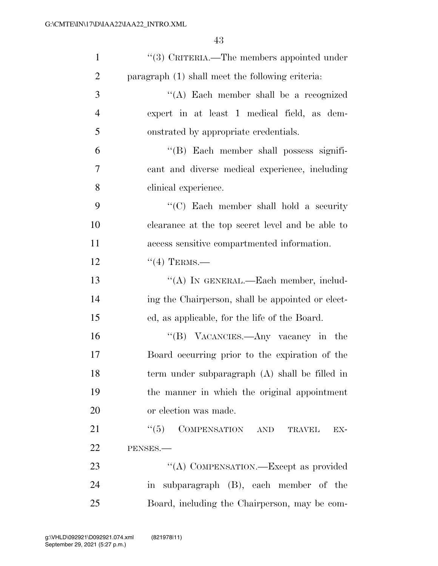| $\mathbf{1}$   | "(3) CRITERIA.—The members appointed under        |
|----------------|---------------------------------------------------|
| $\overline{2}$ | paragraph (1) shall meet the following criteria:  |
| 3              | "(A) Each member shall be a recognized            |
| $\overline{4}$ | expert in at least 1 medical field, as dem-       |
| 5              | onstrated by appropriate credentials.             |
| 6              | "(B) Each member shall possess signifi-           |
| 7              | cant and diverse medical experience, including    |
| 8              | clinical experience.                              |
| 9              | "(C) Each member shall hold a security            |
| 10             | clearance at the top secret level and be able to  |
| 11             | access sensitive compartmented information.       |
| 12             | $``(4)$ TERMS.—                                   |
| 13             | "(A) IN GENERAL.—Each member, includ-             |
| 14             | ing the Chairperson, shall be appointed or elect- |
| 15             | ed, as applicable, for the life of the Board.     |
| 16             | "(B) VACANCIES.—Any vacancy in the                |
| 17             | Board occurring prior to the expiration of the    |
| 18             | term under subparagraph $(A)$ shall be filled in  |
| 19             | the manner in which the original appointment      |
| 20             | or election was made.                             |
| 21             | COMPENSATION AND<br>``(5)<br><b>TRAVEL</b><br>EX- |
| 22             | PENSES.-                                          |
| 23             | "(A) COMPENSATION.—Except as provided             |
| 24             | in subparagraph (B), each member of the           |
| 25             | Board, including the Chairperson, may be com-     |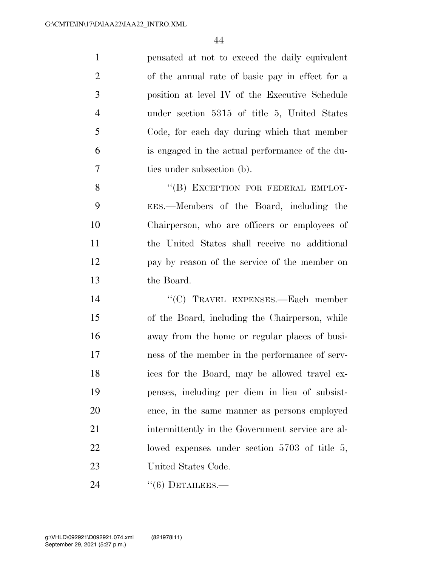pensated at not to exceed the daily equivalent of the annual rate of basic pay in effect for a position at level IV of the Executive Schedule under section 5315 of title 5, United States Code, for each day during which that member is engaged in the actual performance of the du-ties under subsection (b).

8 "(B) EXCEPTION FOR FEDERAL EMPLOY- EES.—Members of the Board, including the Chairperson, who are officers or employees of the United States shall receive no additional pay by reason of the service of the member on the Board.

14 "(C) TRAVEL EXPENSES.—Each member of the Board, including the Chairperson, while away from the home or regular places of busi- ness of the member in the performance of serv- ices for the Board, may be allowed travel ex- penses, including per diem in lieu of subsist- ence, in the same manner as persons employed intermittently in the Government service are al- lowed expenses under section 5703 of title 5, United States Code.

24 "(6) DETAILEES.—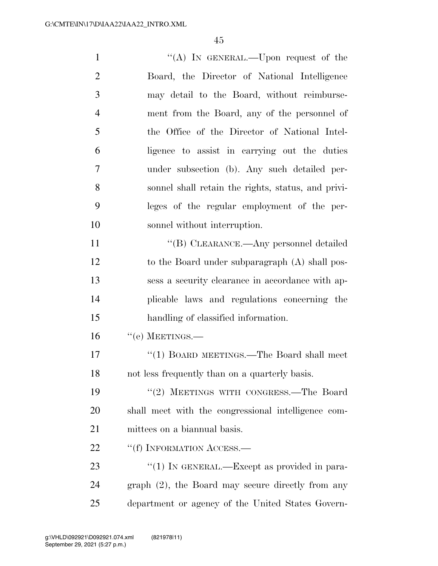1 "'(A) In GENERAL.—Upon request of the Board, the Director of National Intelligence may detail to the Board, without reimburse- ment from the Board, any of the personnel of the Office of the Director of National Intel- ligence to assist in carrying out the duties under subsection (b). Any such detailed per- sonnel shall retain the rights, status, and privi- leges of the regular employment of the per- sonnel without interruption. 11 ""(B) CLEARANCE.—Any personnel detailed 12 to the Board under subparagraph (A) shall pos- sess a security clearance in accordance with ap- plicable laws and regulations concerning the handling of classified information. "(e) MEETINGS.— 17 ''(1) BOARD MEETINGS.—The Board shall meet not less frequently than on a quarterly basis. ''(2) MEETINGS WITH CONGRESS.—The Board shall meet with the congressional intelligence com- mittees on a biannual basis. 22 ""(f) INFORMATION ACCESS.— 23 "(1) IN GENERAL.—Except as provided in para-graph (2), the Board may secure directly from any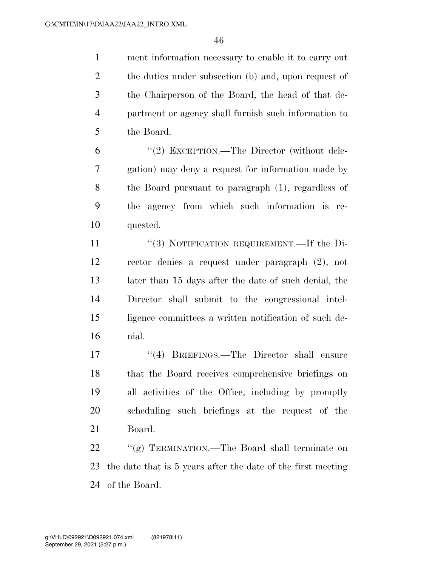ment information necessary to enable it to carry out 2 the duties under subsection (b) and, upon request of the Chairperson of the Board, the head of that de- partment or agency shall furnish such information to the Board.

 ''(2) EXCEPTION.—The Director (without dele- gation) may deny a request for information made by the Board pursuant to paragraph (1), regardless of the agency from which such information is re-quested.

11 "(3) NOTIFICATION REQUIREMENT.—If the Di- rector denies a request under paragraph (2), not later than 15 days after the date of such denial, the Director shall submit to the congressional intel- ligence committees a written notification of such de-nial.

17 ''(4) BRIEFINGS.—The Director shall ensure that the Board receives comprehensive briefings on all activities of the Office, including by promptly scheduling such briefings at the request of the Board.

 ''(g) TERMINATION.—The Board shall terminate on the date that is 5 years after the date of the first meeting of the Board.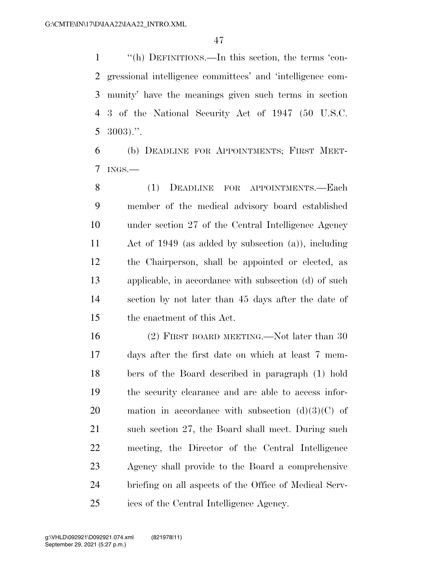''(h) DEFINITIONS.—In this section, the terms 'con- gressional intelligence committees' and 'intelligence com- munity' have the meanings given such terms in section 3 of the National Security Act of 1947 (50 U.S.C.  $5 \text{ } 3003$ .".

 (b) DEADLINE FOR APPOINTMENTS; FIRST MEET-INGS.—

 (1) DEADLINE FOR APPOINTMENTS.—Each member of the medical advisory board established under section 27 of the Central Intelligence Agency Act of 1949 (as added by subsection (a)), including the Chairperson, shall be appointed or elected, as applicable, in accordance with subsection (d) of such section by not later than 45 days after the date of the enactment of this Act.

 (2) FIRST BOARD MEETING.—Not later than 30 days after the first date on which at least 7 mem- bers of the Board described in paragraph (1) hold the security clearance and are able to access infor-20 mation in accordance with subsection  $(d)(3)(C)$  of 21 such section 27, the Board shall meet. During such meeting, the Director of the Central Intelligence Agency shall provide to the Board a comprehensive briefing on all aspects of the Office of Medical Serv-ices of the Central Intelligence Agency.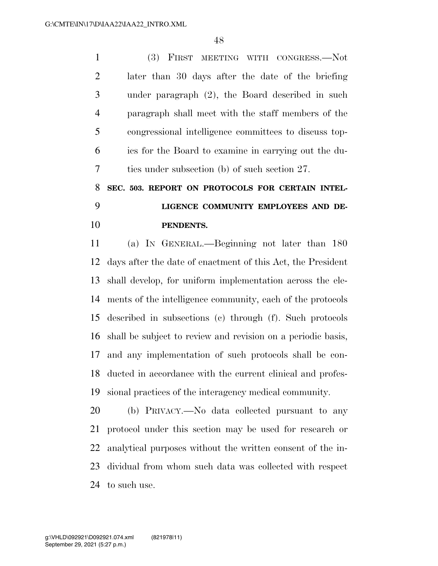(3) FIRST MEETING WITH CONGRESS.—Not later than 30 days after the date of the briefing under paragraph (2), the Board described in such paragraph shall meet with the staff members of the congressional intelligence committees to discuss top- ics for the Board to examine in carrying out the du-ties under subsection (b) of such section 27.

## **SEC. 503. REPORT ON PROTOCOLS FOR CERTAIN INTEL- LIGENCE COMMUNITY EMPLOYEES AND DE-PENDENTS.**

 (a) IN GENERAL.—Beginning not later than 180 days after the date of enactment of this Act, the President shall develop, for uniform implementation across the ele- ments of the intelligence community, each of the protocols described in subsections (c) through (f). Such protocols shall be subject to review and revision on a periodic basis, and any implementation of such protocols shall be con- ducted in accordance with the current clinical and profes-sional practices of the interagency medical community.

 (b) PRIVACY.—No data collected pursuant to any protocol under this section may be used for research or analytical purposes without the written consent of the in- dividual from whom such data was collected with respect to such use.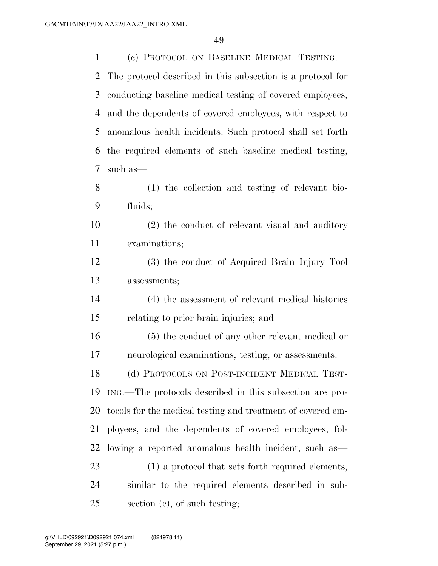(c) PROTOCOL ON BASELINE MEDICAL TESTING.— The protocol described in this subsection is a protocol for conducting baseline medical testing of covered employees, and the dependents of covered employees, with respect to anomalous health incidents. Such protocol shall set forth the required elements of such baseline medical testing, such as— (1) the collection and testing of relevant bio- fluids; (2) the conduct of relevant visual and auditory examinations; (3) the conduct of Acquired Brain Injury Tool

assessments;

 (4) the assessment of relevant medical histories relating to prior brain injuries; and

 (5) the conduct of any other relevant medical or neurological examinations, testing, or assessments.

 (d) PROTOCOLS ON POST-INCIDENT MEDICAL TEST- ING.—The protocols described in this subsection are pro- tocols for the medical testing and treatment of covered em- ployees, and the dependents of covered employees, fol- lowing a reported anomalous health incident, such as— (1) a protocol that sets forth required elements,

 similar to the required elements described in sub-section (c), of such testing;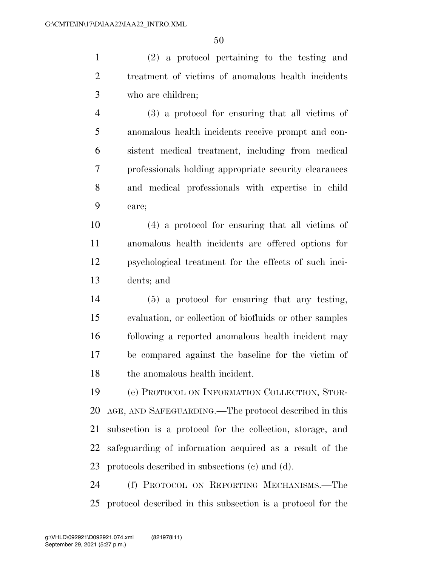(2) a protocol pertaining to the testing and treatment of victims of anomalous health incidents who are children;

 (3) a protocol for ensuring that all victims of anomalous health incidents receive prompt and con- sistent medical treatment, including from medical professionals holding appropriate security clearances and medical professionals with expertise in child care;

 (4) a protocol for ensuring that all victims of anomalous health incidents are offered options for psychological treatment for the effects of such inci-dents; and

 (5) a protocol for ensuring that any testing, evaluation, or collection of biofluids or other samples following a reported anomalous health incident may be compared against the baseline for the victim of the anomalous health incident.

 (e) PROTOCOL ON INFORMATION COLLECTION, STOR- AGE, AND SAFEGUARDING.—The protocol described in this subsection is a protocol for the collection, storage, and safeguarding of information acquired as a result of the protocols described in subsections (c) and (d).

 (f) PROTOCOL ON REPORTING MECHANISMS.—The protocol described in this subsection is a protocol for the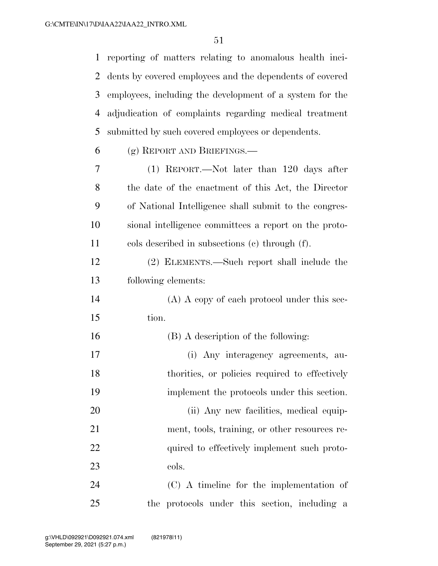reporting of matters relating to anomalous health inci- dents by covered employees and the dependents of covered employees, including the development of a system for the adjudication of complaints regarding medical treatment submitted by such covered employees or dependents.

(g) REPORT AND BRIEFINGS.—

- (1) REPORT.—Not later than 120 days after the date of the enactment of this Act, the Director of National Intelligence shall submit to the congres- sional intelligence committees a report on the proto-cols described in subsections (c) through (f).
- (2) ELEMENTS.—Such report shall include the following elements:
- (A) A copy of each protocol under this sec-tion.
- (B) A description of the following: (i) Any interagency agreements, au- thorities, or policies required to effectively implement the protocols under this section. 20 (ii) Any new facilities, medical equip- ment, tools, training, or other resources re-22 quired to effectively implement such proto-23 cols.
- (C) A timeline for the implementation of the protocols under this section, including a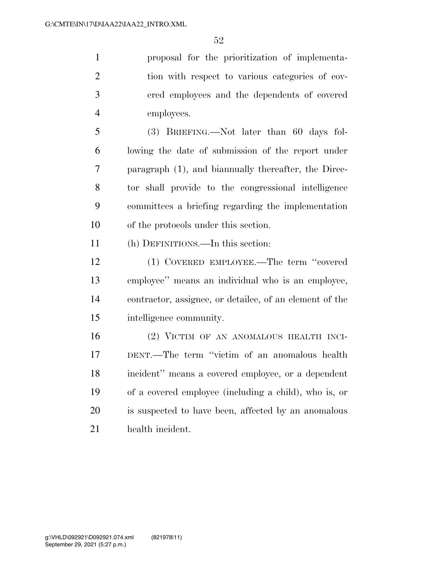proposal for the prioritization of implementa- tion with respect to various categories of cov- ered employees and the dependents of covered employees.

 (3) BRIEFING.—Not later than 60 days fol- lowing the date of submission of the report under paragraph (1), and biannually thereafter, the Direc- tor shall provide to the congressional intelligence committees a briefing regarding the implementation of the protocols under this section.

(h) DEFINITIONS.—In this section:

 (1) COVERED EMPLOYEE.—The term ''covered employee'' means an individual who is an employee, contractor, assignee, or detailee, of an element of the intelligence community.

 (2) VICTIM OF AN ANOMALOUS HEALTH INCI- DENT.—The term ''victim of an anomalous health incident'' means a covered employee, or a dependent of a covered employee (including a child), who is, or is suspected to have been, affected by an anomalous health incident.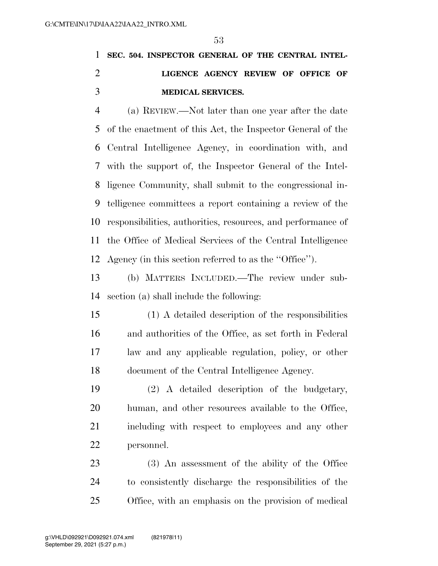## **SEC. 504. INSPECTOR GENERAL OF THE CENTRAL INTEL- LIGENCE AGENCY REVIEW OF OFFICE OF MEDICAL SERVICES.**

 (a) REVIEW.—Not later than one year after the date of the enactment of this Act, the Inspector General of the Central Intelligence Agency, in coordination with, and with the support of, the Inspector General of the Intel- ligence Community, shall submit to the congressional in- telligence committees a report containing a review of the responsibilities, authorities, resources, and performance of the Office of Medical Services of the Central Intelligence Agency (in this section referred to as the ''Office'').

 (b) MATTERS INCLUDED.—The review under sub-section (a) shall include the following:

 (1) A detailed description of the responsibilities and authorities of the Office, as set forth in Federal law and any applicable regulation, policy, or other document of the Central Intelligence Agency.

 (2) A detailed description of the budgetary, human, and other resources available to the Office, including with respect to employees and any other personnel.

 (3) An assessment of the ability of the Office to consistently discharge the responsibilities of the Office, with an emphasis on the provision of medical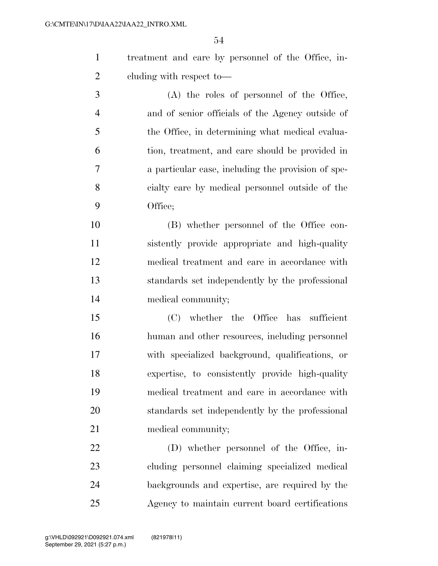treatment and care by personnel of the Office, in-cluding with respect to—

 (A) the roles of personnel of the Office, and of senior officials of the Agency outside of the Office, in determining what medical evalua- tion, treatment, and care should be provided in a particular case, including the provision of spe- cialty care by medical personnel outside of the Office;

 (B) whether personnel of the Office con- sistently provide appropriate and high-quality medical treatment and care in accordance with standards set independently by the professional medical community;

 (C) whether the Office has sufficient human and other resources, including personnel with specialized background, qualifications, or expertise, to consistently provide high-quality medical treatment and care in accordance with standards set independently by the professional 21 medical community;

 (D) whether personnel of the Office, in- cluding personnel claiming specialized medical backgrounds and expertise, are required by the Agency to maintain current board certifications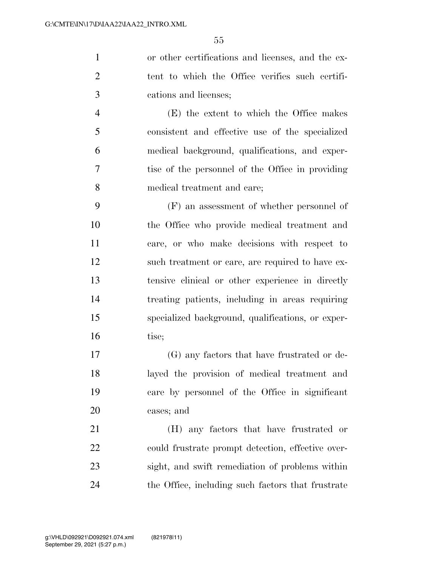or other certifications and licenses, and the ex- tent to which the Office verifies such certifi-cations and licenses;

 (E) the extent to which the Office makes consistent and effective use of the specialized medical background, qualifications, and exper- tise of the personnel of the Office in providing medical treatment and care;

 (F) an assessment of whether personnel of the Office who provide medical treatment and care, or who make decisions with respect to such treatment or care, are required to have ex- tensive clinical or other experience in directly treating patients, including in areas requiring specialized background, qualifications, or exper-16 tise;

 (G) any factors that have frustrated or de- layed the provision of medical treatment and care by personnel of the Office in significant cases; and

 (H) any factors that have frustrated or could frustrate prompt detection, effective over- sight, and swift remediation of problems within the Office, including such factors that frustrate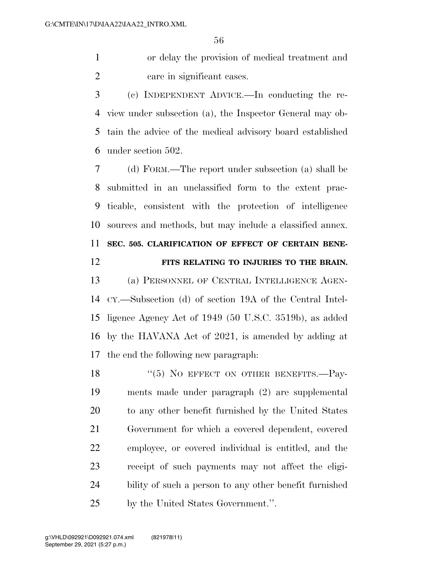or delay the provision of medical treatment and care in significant cases.

 (c) INDEPENDENT ADVICE.—In conducting the re- view under subsection (a), the Inspector General may ob- tain the advice of the medical advisory board established under section 502.

 (d) FORM.—The report under subsection (a) shall be submitted in an unclassified form to the extent prac- ticable, consistent with the protection of intelligence sources and methods, but may include a classified annex. **SEC. 505. CLARIFICATION OF EFFECT OF CERTAIN BENE-**

#### **FITS RELATING TO INJURIES TO THE BRAIN.**

 (a) PERSONNEL OF CENTRAL INTELLIGENCE AGEN- CY.—Subsection (d) of section 19A of the Central Intel- ligence Agency Act of 1949 (50 U.S.C. 3519b), as added by the HAVANA Act of 2021, is amended by adding at the end the following new paragraph:

18 "(5) NO EFFECT ON OTHER BENEFITS.—Pay- ments made under paragraph (2) are supplemental to any other benefit furnished by the United States Government for which a covered dependent, covered employee, or covered individual is entitled, and the receipt of such payments may not affect the eligi- bility of such a person to any other benefit furnished by the United States Government.''.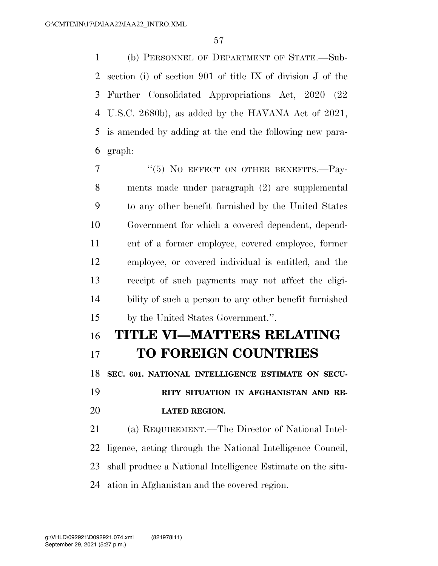(b) PERSONNEL OF DEPARTMENT OF STATE.—Sub- section (i) of section 901 of title IX of division J of the Further Consolidated Appropriations Act, 2020 (22 U.S.C. 2680b), as added by the HAVANA Act of 2021, is amended by adding at the end the following new para-graph:

7 "(5) NO EFFECT ON OTHER BENEFITS.—Pay- ments made under paragraph (2) are supplemental to any other benefit furnished by the United States Government for which a covered dependent, depend- ent of a former employee, covered employee, former employee, or covered individual is entitled, and the receipt of such payments may not affect the eligi- bility of such a person to any other benefit furnished by the United States Government.''.

# **TITLE VI—MATTERS RELATING TO FOREIGN COUNTRIES SEC. 601. NATIONAL INTELLIGENCE ESTIMATE ON SECU- RITY SITUATION IN AFGHANISTAN AND RE- LATED REGION.**  (a) REQUIREMENT.—The Director of National Intel-

 ligence, acting through the National Intelligence Council, shall produce a National Intelligence Estimate on the situ-ation in Afghanistan and the covered region.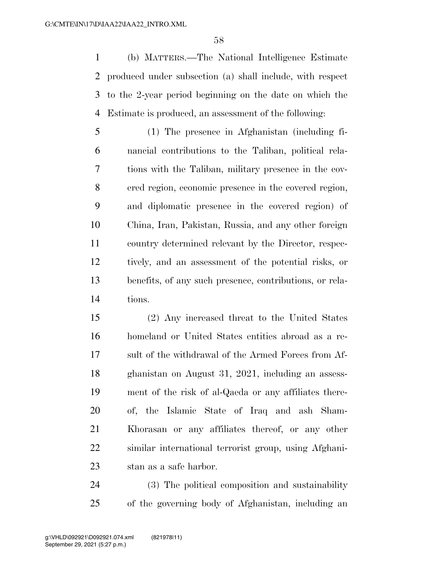(b) MATTERS.—The National Intelligence Estimate produced under subsection (a) shall include, with respect to the 2-year period beginning on the date on which the Estimate is produced, an assessment of the following:

 (1) The presence in Afghanistan (including fi- nancial contributions to the Taliban, political rela- tions with the Taliban, military presence in the cov- ered region, economic presence in the covered region, and diplomatic presence in the covered region) of China, Iran, Pakistan, Russia, and any other foreign country determined relevant by the Director, respec- tively, and an assessment of the potential risks, or benefits, of any such presence, contributions, or rela-tions.

 (2) Any increased threat to the United States homeland or United States entities abroad as a re- sult of the withdrawal of the Armed Forces from Af- ghanistan on August 31, 2021, including an assess- ment of the risk of al-Qaeda or any affiliates there- of, the Islamic State of Iraq and ash Sham- Khorasan or any affiliates thereof, or any other similar international terrorist group, using Afghani-stan as a safe harbor.

 (3) The political composition and sustainability of the governing body of Afghanistan, including an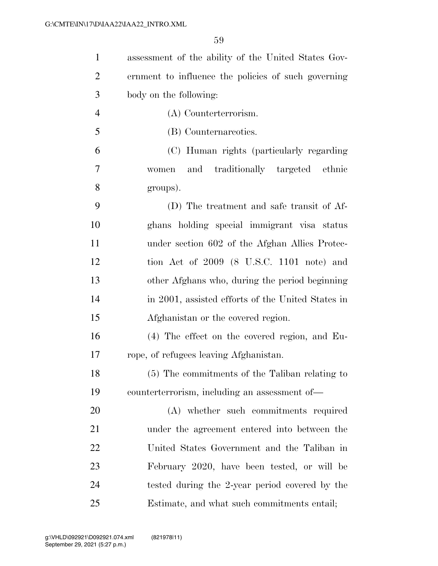| $\mathbf{1}$   | assessment of the ability of the United States Gov- |
|----------------|-----------------------------------------------------|
| $\overline{2}$ | ernment to influence the policies of such governing |
| 3              | body on the following:                              |
| $\overline{4}$ | (A) Counterterrorism.                               |
| 5              | (B) Counternareoties.                               |
| 6              | (C) Human rights (particularly regarding            |
| 7              | and traditionally targeted ethnic<br>women          |
| 8              | groups).                                            |
| 9              | (D) The treatment and safe transit of Af-           |
| 10             | ghans holding special immigrant visa status         |
| 11             | under section 602 of the Afghan Allies Protec-      |
| 12             | tion Act of $2009$ (8 U.S.C. 1101 note) and         |
| 13             | other Afghans who, during the period beginning      |
| 14             | in 2001, assisted efforts of the United States in   |
| 15             | Afghanistan or the covered region.                  |
| 16             | (4) The effect on the covered region, and Eu-       |
| 17             | rope, of refugees leaving Afghanistan.              |
| 18             | (5) The commitments of the Taliban relating to      |
| 19             | counterterrorism, including an assessment of—       |
| 20             | (A) whether such commitments required               |
| 21             | under the agreement entered into between the        |
| 22             | United States Government and the Taliban in         |
| 23             | February 2020, have been tested, or will be         |
| 24             | tested during the 2-year period covered by the      |
| 25             | Estimate, and what such commitments entail;         |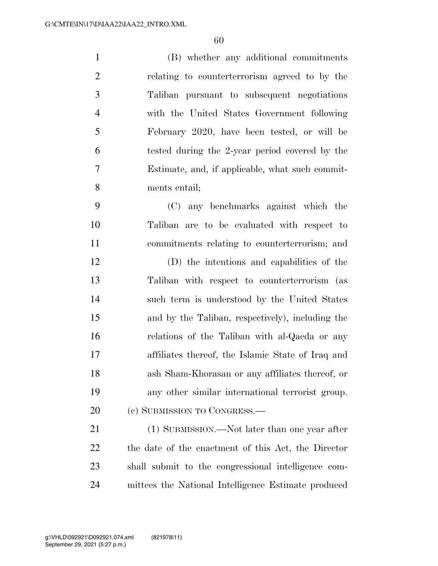(B) whether any additional commitments relating to counterterrorism agreed to by the Taliban pursuant to subsequent negotiations with the United States Government following February 2020, have been tested, or will be tested during the 2-year period covered by the Estimate, and, if applicable, what such commit- ments entail; (C) any benchmarks against which the Taliban are to be evaluated with respect to commitments relating to counterterrorism; and (D) the intentions and capabilities of the Taliban with respect to counterterrorism (as

 such term is understood by the United States and by the Taliban, respectively), including the relations of the Taliban with al-Qaeda or any affiliates thereof, the Islamic State of Iraq and ash Sham-Khorasan or any affiliates thereof, or any other similar international terrorist group. 20 (c) SUBMISSION TO CONGRESS.—

21 (1) SUBMISSION.—Not later than one year after the date of the enactment of this Act, the Director shall submit to the congressional intelligence com-mittees the National Intelligence Estimate produced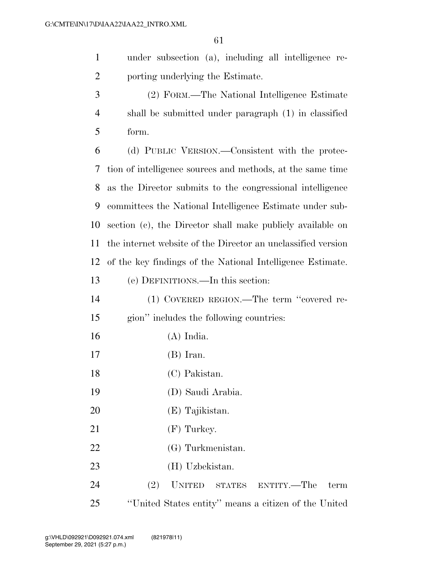under subsection (a), including all intelligence re-porting underlying the Estimate.

 (2) FORM.—The National Intelligence Estimate shall be submitted under paragraph (1) in classified form.

 (d) PUBLIC VERSION.—Consistent with the protec- tion of intelligence sources and methods, at the same time as the Director submits to the congressional intelligence committees the National Intelligence Estimate under sub- section (c), the Director shall make publicly available on the internet website of the Director an unclassified version of the key findings of the National Intelligence Estimate.

#### (e) DEFINITIONS.—In this section:

- (1) COVERED REGION.—The term ''covered re- gion'' includes the following countries: (A) India. (B) Iran. (C) Pakistan.
- (D) Saudi Arabia.
- (E) Tajikistan.
- 21 (F) Turkey.
- (G) Turkmenistan.
- (H) Uzbekistan.

 (2) UNITED STATES ENTITY.—The term ''United States entity'' means a citizen of the United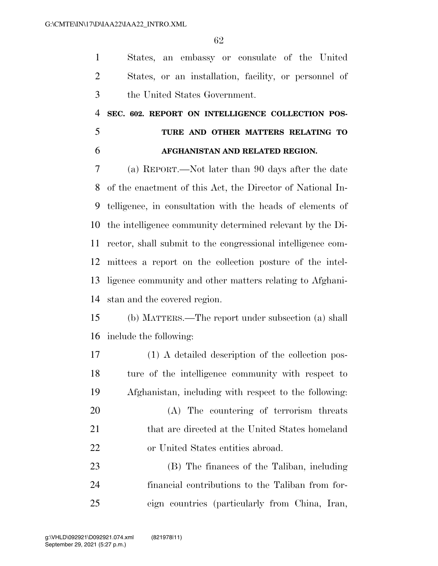States, an embassy or consulate of the United States, or an installation, facility, or personnel of the United States Government.

## **SEC. 602. REPORT ON INTELLIGENCE COLLECTION POS- TURE AND OTHER MATTERS RELATING TO AFGHANISTAN AND RELATED REGION.**

 (a) REPORT.—Not later than 90 days after the date of the enactment of this Act, the Director of National In- telligence, in consultation with the heads of elements of the intelligence community determined relevant by the Di- rector, shall submit to the congressional intelligence com- mittees a report on the collection posture of the intel- ligence community and other matters relating to Afghani-stan and the covered region.

 (b) MATTERS.—The report under subsection (a) shall include the following:

 (1) A detailed description of the collection pos- ture of the intelligence community with respect to Afghanistan, including with respect to the following:

 (A) The countering of terrorism threats 21 that are directed at the United States homeland 22 or United States entities abroad.

 (B) The finances of the Taliban, including financial contributions to the Taliban from for-eign countries (particularly from China, Iran,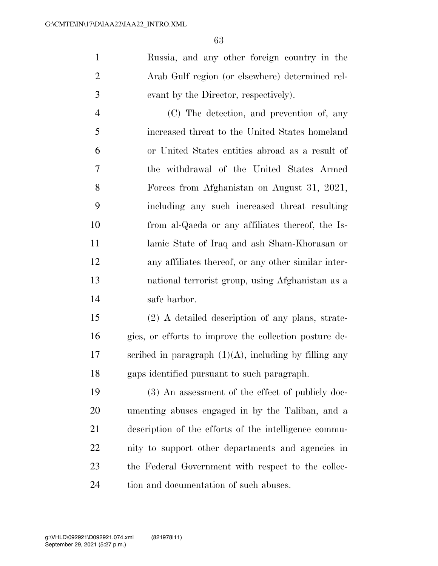Russia, and any other foreign country in the Arab Gulf region (or elsewhere) determined rel-evant by the Director, respectively).

 (C) The detection, and prevention of, any increased threat to the United States homeland or United States entities abroad as a result of the withdrawal of the United States Armed Forces from Afghanistan on August 31, 2021, including any such increased threat resulting from al-Qaeda or any affiliates thereof, the Is- lamic State of Iraq and ash Sham-Khorasan or any affiliates thereof, or any other similar inter- national terrorist group, using Afghanistan as a safe harbor.

 (2) A detailed description of any plans, strate- gies, or efforts to improve the collection posture de-17 scribed in paragraph  $(1)(A)$ , including by filling any gaps identified pursuant to such paragraph.

 (3) An assessment of the effect of publicly doc- umenting abuses engaged in by the Taliban, and a description of the efforts of the intelligence commu- nity to support other departments and agencies in the Federal Government with respect to the collec-tion and documentation of such abuses.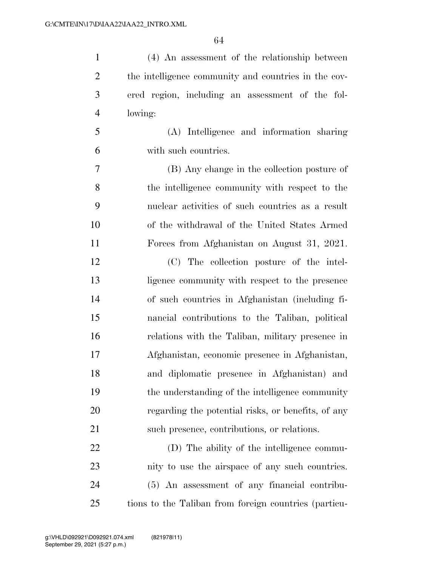| $\mathbf{1}$   | (4) An assessment of the relationship between         |
|----------------|-------------------------------------------------------|
| $\overline{2}$ | the intelligence community and countries in the cov-  |
| 3              | ered region, including an assessment of the fol-      |
| $\overline{4}$ | lowing:                                               |
| 5              | (A) Intelligence and information sharing              |
| 6              | with such countries.                                  |
| $\overline{7}$ | (B) Any change in the collection posture of           |
| 8              | the intelligence community with respect to the        |
| 9              | nuclear activities of such countries as a result      |
| 10             | of the withdrawal of the United States Armed          |
| 11             | Forces from Afghanistan on August 31, 2021.           |
| 12             | (C) The collection posture of the intel-              |
| 13             | ligence community with respect to the presence        |
| 14             | of such countries in Afghanistan (including fi-       |
| 15             | nancial contributions to the Taliban, political       |
| 16             | relations with the Taliban, military presence in      |
| 17             | Afghanistan, economic presence in Afghanistan,        |
| 18             | and diplomatic presence in Afghanistan) and           |
| 19             | the understanding of the intelligence community       |
| 20             | regarding the potential risks, or benefits, of any    |
| 21             | such presence, contributions, or relations.           |
| 22             | (D) The ability of the intelligence commu-            |
| 23             | nity to use the airspace of any such countries.       |
| 24             | (5) An assessment of any financial contribu-          |
| 25             | tions to the Taliban from foreign countries (particu- |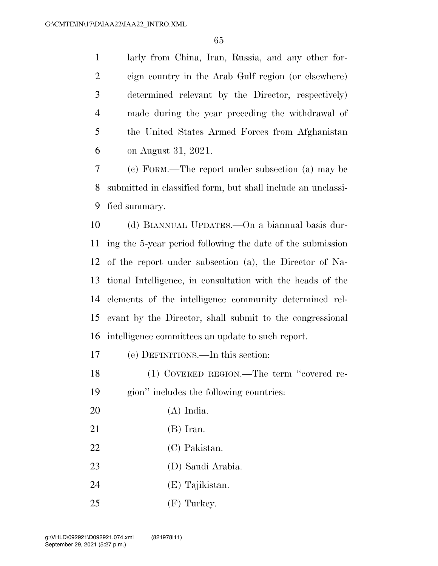larly from China, Iran, Russia, and any other for- eign country in the Arab Gulf region (or elsewhere) determined relevant by the Director, respectively) made during the year preceding the withdrawal of the United States Armed Forces from Afghanistan on August 31, 2021.

 (c) FORM.—The report under subsection (a) may be submitted in classified form, but shall include an unclassi-fied summary.

 (d) BIANNUAL UPDATES.—On a biannual basis dur- ing the 5-year period following the date of the submission of the report under subsection (a), the Director of Na- tional Intelligence, in consultation with the heads of the elements of the intelligence community determined rel- evant by the Director, shall submit to the congressional intelligence committees an update to such report.

(e) DEFINITIONS.—In this section:

 (1) COVERED REGION.—The term ''covered re-gion'' includes the following countries:

- (A) India.
- (B) Iran.
- 22 (C) Pakistan.
- (D) Saudi Arabia.
- (E) Tajikistan.
- (F) Turkey.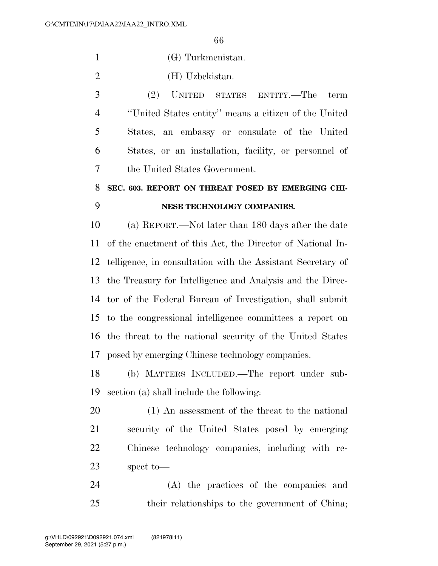(G) Turkmenistan.

(H) Uzbekistan.

 (2) UNITED STATES ENTITY.—The term ''United States entity'' means a citizen of the United States, an embassy or consulate of the United States, or an installation, facility, or personnel of the United States Government.

## **SEC. 603. REPORT ON THREAT POSED BY EMERGING CHI-NESE TECHNOLOGY COMPANIES.**

 (a) REPORT.—Not later than 180 days after the date of the enactment of this Act, the Director of National In- telligence, in consultation with the Assistant Secretary of the Treasury for Intelligence and Analysis and the Direc- tor of the Federal Bureau of Investigation, shall submit to the congressional intelligence committees a report on the threat to the national security of the United States posed by emerging Chinese technology companies.

 (b) MATTERS INCLUDED.—The report under sub-section (a) shall include the following:

 (1) An assessment of the threat to the national security of the United States posed by emerging Chinese technology companies, including with re-spect to—

 (A) the practices of the companies and their relationships to the government of China;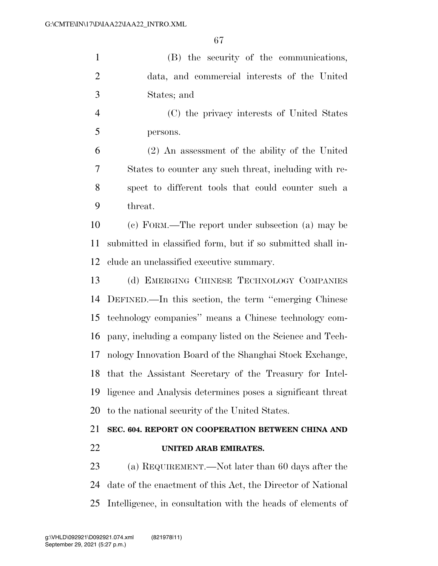(B) the security of the communications, data, and commercial interests of the United States; and

 (C) the privacy interests of United States persons.

 (2) An assessment of the ability of the United States to counter any such threat, including with re- spect to different tools that could counter such a threat.

 (c) FORM.—The report under subsection (a) may be submitted in classified form, but if so submitted shall in-clude an unclassified executive summary.

 (d) EMERGING CHINESE TECHNOLOGY COMPANIES DEFINED.—In this section, the term ''emerging Chinese technology companies'' means a Chinese technology com- pany, including a company listed on the Science and Tech- nology Innovation Board of the Shanghai Stock Exchange, that the Assistant Secretary of the Treasury for Intel- ligence and Analysis determines poses a significant threat to the national security of the United States.

### **SEC. 604. REPORT ON COOPERATION BETWEEN CHINA AND UNITED ARAB EMIRATES.**

 (a) REQUIREMENT.—Not later than 60 days after the date of the enactment of this Act, the Director of National Intelligence, in consultation with the heads of elements of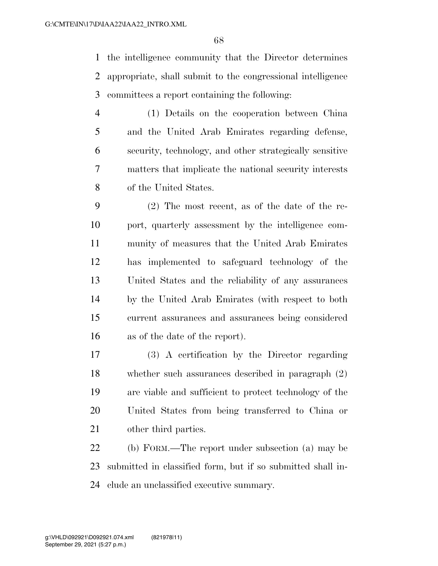the intelligence community that the Director determines appropriate, shall submit to the congressional intelligence committees a report containing the following:

 (1) Details on the cooperation between China and the United Arab Emirates regarding defense, security, technology, and other strategically sensitive matters that implicate the national security interests of the United States.

 (2) The most recent, as of the date of the re- port, quarterly assessment by the intelligence com- munity of measures that the United Arab Emirates has implemented to safeguard technology of the United States and the reliability of any assurances by the United Arab Emirates (with respect to both current assurances and assurances being considered as of the date of the report).

 (3) A certification by the Director regarding whether such assurances described in paragraph (2) are viable and sufficient to protect technology of the United States from being transferred to China or other third parties.

 (b) FORM.—The report under subsection (a) may be submitted in classified form, but if so submitted shall in-clude an unclassified executive summary.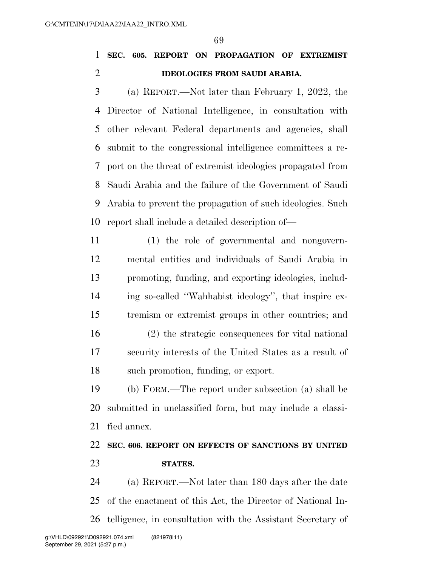### **SEC. 605. REPORT ON PROPAGATION OF EXTREMIST IDEOLOGIES FROM SAUDI ARABIA.**

 (a) REPORT.—Not later than February 1, 2022, the Director of National Intelligence, in consultation with other relevant Federal departments and agencies, shall submit to the congressional intelligence committees a re- port on the threat of extremist ideologies propagated from Saudi Arabia and the failure of the Government of Saudi Arabia to prevent the propagation of such ideologies. Such report shall include a detailed description of—

- (1) the role of governmental and nongovern- mental entities and individuals of Saudi Arabia in promoting, funding, and exporting ideologies, includ- ing so-called ''Wahhabist ideology'', that inspire ex-tremism or extremist groups in other countries; and
- (2) the strategic consequences for vital national security interests of the United States as a result of such promotion, funding, or export.

 (b) FORM.—The report under subsection (a) shall be submitted in unclassified form, but may include a classi-fied annex.

### **SEC. 606. REPORT ON EFFECTS OF SANCTIONS BY UNITED STATES.**

 (a) REPORT.—Not later than 180 days after the date of the enactment of this Act, the Director of National In-telligence, in consultation with the Assistant Secretary of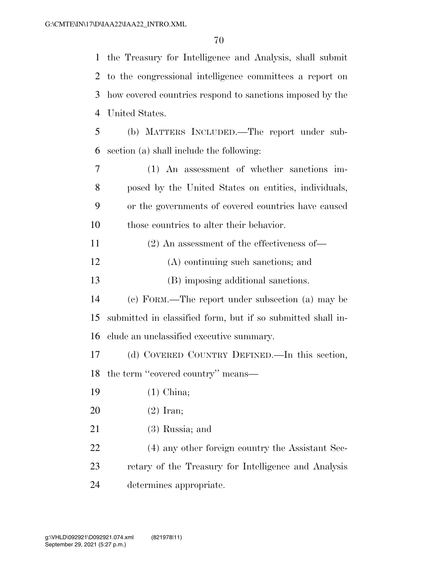the Treasury for Intelligence and Analysis, shall submit to the congressional intelligence committees a report on how covered countries respond to sanctions imposed by the United States. (b) MATTERS INCLUDED.—The report under sub-

section (a) shall include the following:

 (1) An assessment of whether sanctions im- posed by the United States on entities, individuals, or the governments of covered countries have caused those countries to alter their behavior.

(2) An assessment of the effectiveness of—

(A) continuing such sanctions; and

(B) imposing additional sanctions.

 (c) FORM.—The report under subsection (a) may be submitted in classified form, but if so submitted shall in-clude an unclassified executive summary.

 (d) COVERED COUNTRY DEFINED.—In this section, 18 the term "covered country" means—

- (1) China;
- (2) Iran;
- (3) Russia; and

 (4) any other foreign country the Assistant Sec- retary of the Treasury for Intelligence and Analysis determines appropriate.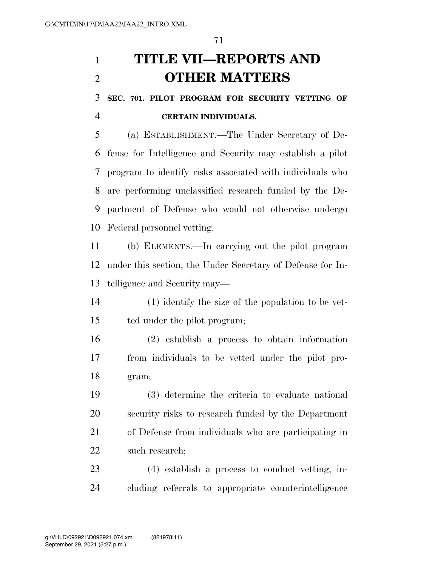## **TITLE VII—REPORTS AND OTHER MATTERS**

 **SEC. 701. PILOT PROGRAM FOR SECURITY VETTING OF CERTAIN INDIVIDUALS.** 

 (a) ESTABLISHMENT.—The Under Secretary of De- fense for Intelligence and Security may establish a pilot program to identify risks associated with individuals who are performing unclassified research funded by the De- partment of Defense who would not otherwise undergo Federal personnel vetting.

 (b) ELEMENTS.—In carrying out the pilot program under this section, the Under Secretary of Defense for In-telligence and Security may—

 (1) identify the size of the population to be vet-ted under the pilot program;

 (2) establish a process to obtain information from individuals to be vetted under the pilot pro-gram;

 (3) determine the criteria to evaluate national security risks to research funded by the Department of Defense from individuals who are participating in such research;

 (4) establish a process to conduct vetting, in-cluding referrals to appropriate counterintelligence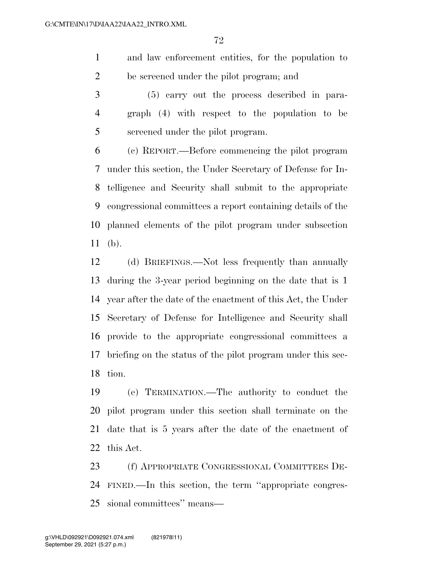and law enforcement entities, for the population to be screened under the pilot program; and

 (5) carry out the process described in para- graph (4) with respect to the population to be screened under the pilot program.

 (c) REPORT.—Before commencing the pilot program under this section, the Under Secretary of Defense for In- telligence and Security shall submit to the appropriate congressional committees a report containing details of the planned elements of the pilot program under subsection (b).

 (d) BRIEFINGS.—Not less frequently than annually during the 3-year period beginning on the date that is 1 year after the date of the enactment of this Act, the Under Secretary of Defense for Intelligence and Security shall provide to the appropriate congressional committees a briefing on the status of the pilot program under this sec-tion.

 (e) TERMINATION.—The authority to conduct the pilot program under this section shall terminate on the date that is 5 years after the date of the enactment of this Act.

 (f) APPROPRIATE CONGRESSIONAL COMMITTEES DE- FINED.—In this section, the term ''appropriate congres-sional committees'' means—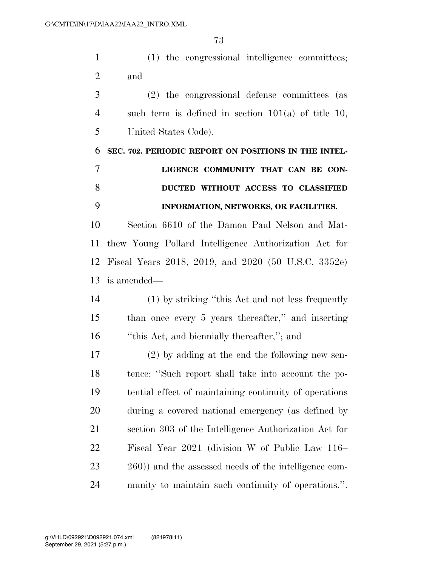(1) the congressional intelligence committees; and

 (2) the congressional defense committees (as such term is defined in section 101(a) of title 10, United States Code).

**SEC. 702. PERIODIC REPORT ON POSITIONS IN THE INTEL-**

|     | LIGENCE COMMUNITY THAT CAN BE CON-    |
|-----|---------------------------------------|
| - 8 | DUCTED WITHOUT ACCESS TO CLASSIFIED   |
|     | INFORMATION, NETWORKS, OR FACILITIES. |

 Section 6610 of the Damon Paul Nelson and Mat- thew Young Pollard Intelligence Authorization Act for Fiscal Years 2018, 2019, and 2020 (50 U.S.C. 3352e) is amended—

 (1) by striking ''this Act and not less frequently than once every 5 years thereafter,'' and inserting ''this Act, and biennially thereafter,''; and

 (2) by adding at the end the following new sen- tence: ''Such report shall take into account the po- tential effect of maintaining continuity of operations during a covered national emergency (as defined by section 303 of the Intelligence Authorization Act for Fiscal Year 2021 (division W of Public Law 116– 260)) and the assessed needs of the intelligence com-munity to maintain such continuity of operations.''.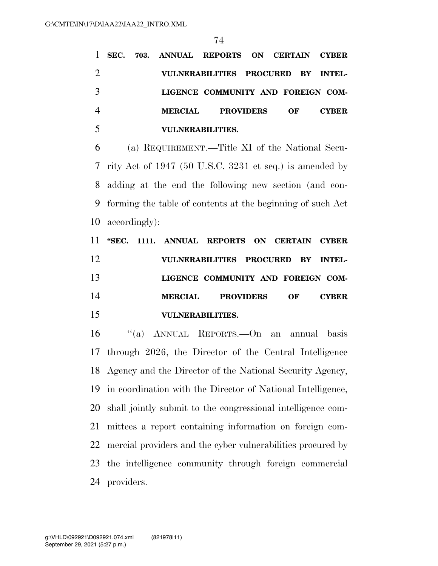**SEC. 703. ANNUAL REPORTS ON CERTAIN CYBER VULNERABILITIES PROCURED BY INTEL- LIGENCE COMMUNITY AND FOREIGN COM- MERCIAL PROVIDERS OF CYBER VULNERABILITIES.** 

 (a) REQUIREMENT.—Title XI of the National Secu- rity Act of 1947 (50 U.S.C. 3231 et seq.) is amended by adding at the end the following new section (and con- forming the table of contents at the beginning of such Act accordingly):

 **''SEC. 1111. ANNUAL REPORTS ON CERTAIN CYBER VULNERABILITIES PROCURED BY INTEL- LIGENCE COMMUNITY AND FOREIGN COM- MERCIAL PROVIDERS OF CYBER VULNERABILITIES.** 

 ''(a) ANNUAL REPORTS.—On an annual basis through 2026, the Director of the Central Intelligence Agency and the Director of the National Security Agency, in coordination with the Director of National Intelligence, shall jointly submit to the congressional intelligence com- mittees a report containing information on foreign com- mercial providers and the cyber vulnerabilities procured by the intelligence community through foreign commercial providers.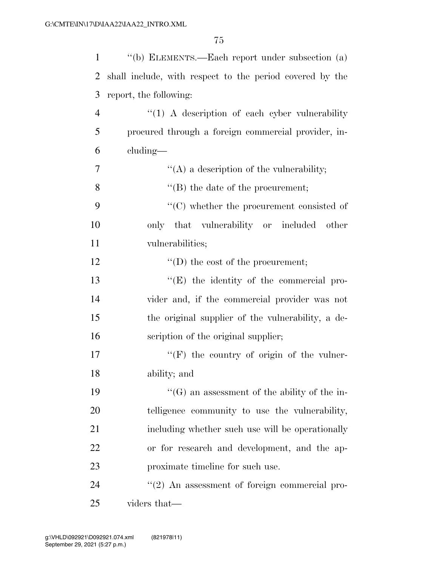| $\mathbf{1}$   | "(b) ELEMENTS.—Each report under subsection (a)          |
|----------------|----------------------------------------------------------|
| $\overline{2}$ | shall include, with respect to the period covered by the |
| 3              | report, the following:                                   |
| $\overline{4}$ | $\lq(1)$ A description of each cyber vulnerability       |
| 5              | procured through a foreign commercial provider, in-      |
| 6              | cluding—                                                 |
| 7              | "(A) a description of the vulnerability;                 |
| 8              | $\lq\lq$ the date of the procurement;                    |
| 9              | $\cdot$ (C) whether the procurement consisted of         |
| 10             | only that vulnerability or included other                |
| 11             | vulnerabilities;                                         |
| 12             | $\lq\lq$ (D) the cost of the procurement;                |
| 13             | $\lq\lq(E)$ the identity of the commercial pro-          |
| 14             | vider and, if the commercial provider was not            |
| 15             | the original supplier of the vulnerability, a de-        |
| 16             | scription of the original supplier;                      |
| 17             | $\lq\lq(F)$ the country of origin of the vulner-         |
| 18             | ability; and                                             |
| 19             | $\lq\lq(G)$ an assessment of the ability of the in-      |
| 20             | telligence community to use the vulnerability,           |
| 21             | including whether such use will be operationally         |
| 22             | or for research and development, and the ap-             |
| 23             | proximate timeline for such use.                         |
| 24             | $\lq(2)$ An assessment of foreign commercial pro-        |
| 25             | viders that—                                             |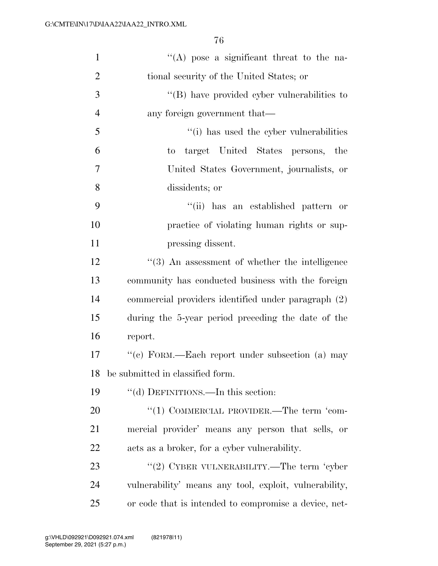| $\mathbf{1}$   | $\lq\lq$ pose a significant threat to the na-          |
|----------------|--------------------------------------------------------|
| $\overline{2}$ | tional security of the United States; or               |
| 3              | $\lq\lq$ (B) have provided cyber vulnerabilities to    |
| $\overline{4}$ | any foreign government that—                           |
| 5              | "(i) has used the cyber vulnerabilities                |
| 6              | target United States persons, the<br>to                |
| $\overline{7}$ | United States Government, journalists, or              |
| 8              | dissidents; or                                         |
| 9              | "(ii) has an established pattern or                    |
| 10             | practice of violating human rights or sup-             |
| 11             | pressing dissent.                                      |
| 12             | $\lq(3)$ An assessment of whether the intelligence     |
| 13             | community has conducted business with the foreign      |
| 14             | commercial providers identified under paragraph (2)    |
| 15             | during the 5-year period preceding the date of the     |
| 16             | report.                                                |
| 17             | "(c) FORM.—Each report under subsection (a) may        |
| 18             | be submitted in classified form.                       |
| 19             | "(d) DEFINITIONS.—In this section:                     |
| 20             | "(1) COMMERCIAL PROVIDER.—The term 'com-               |
| 21             | mercial provider' means any person that sells, or      |
| 22             | acts as a broker, for a cyber vulnerability.           |
| 23             | "(2) CYBER VULNERABILITY.—The term 'cyber              |
| 24             | vulnerability' means any tool, exploit, vulnerability, |
| 25             | or code that is intended to compromise a device, net-  |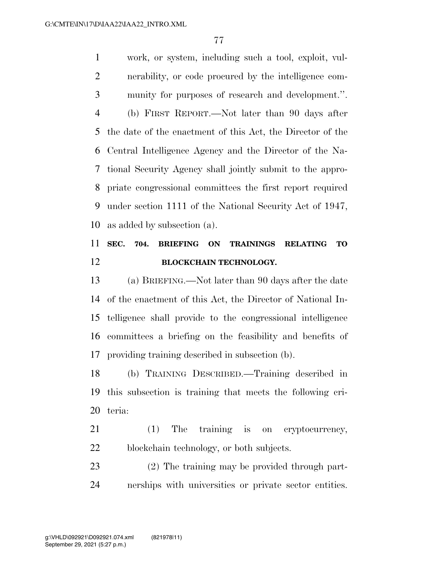work, or system, including such a tool, exploit, vul- nerability, or code procured by the intelligence com- munity for purposes of research and development.''. (b) FIRST REPORT.—Not later than 90 days after the date of the enactment of this Act, the Director of the Central Intelligence Agency and the Director of the Na- tional Security Agency shall jointly submit to the appro- priate congressional committees the first report required under section 1111 of the National Security Act of 1947, as added by subsection (a).

## **SEC. 704. BRIEFING ON TRAININGS RELATING TO BLOCKCHAIN TECHNOLOGY.**

 (a) BRIEFING.—Not later than 90 days after the date of the enactment of this Act, the Director of National In- telligence shall provide to the congressional intelligence committees a briefing on the feasibility and benefits of providing training described in subsection (b).

 (b) TRAINING DESCRIBED.—Training described in this subsection is training that meets the following cri-teria:

 (1) The training is on cryptocurrency, blockchain technology, or both subjects.

 (2) The training may be provided through part-nerships with universities or private sector entities.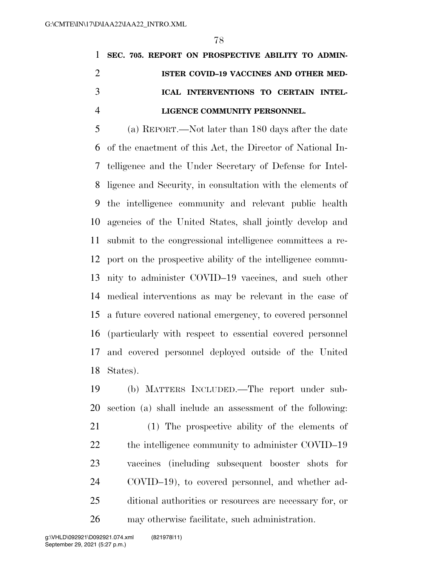|               | 1 SEC. 705. REPORT ON PROSPECTIVE ABILITY TO ADMIN- |
|---------------|-----------------------------------------------------|
|               | ISTER COVID-19 VACCINES AND OTHER MED-              |
| $\mathcal{R}$ | ICAL INTERVENTIONS TO CERTAIN INTEL-                |
|               | LIGENCE COMMUNITY PERSONNEL.                        |

 (a) REPORT.—Not later than 180 days after the date of the enactment of this Act, the Director of National In- telligence and the Under Secretary of Defense for Intel- ligence and Security, in consultation with the elements of the intelligence community and relevant public health agencies of the United States, shall jointly develop and submit to the congressional intelligence committees a re- port on the prospective ability of the intelligence commu- nity to administer COVID–19 vaccines, and such other medical interventions as may be relevant in the case of a future covered national emergency, to covered personnel (particularly with respect to essential covered personnel and covered personnel deployed outside of the United States).

 (b) MATTERS INCLUDED.—The report under sub-section (a) shall include an assessment of the following:

 (1) The prospective ability of the elements of 22 the intelligence community to administer COVID–19 vaccines (including subsequent booster shots for COVID–19), to covered personnel, and whether ad- ditional authorities or resources are necessary for, or may otherwise facilitate, such administration.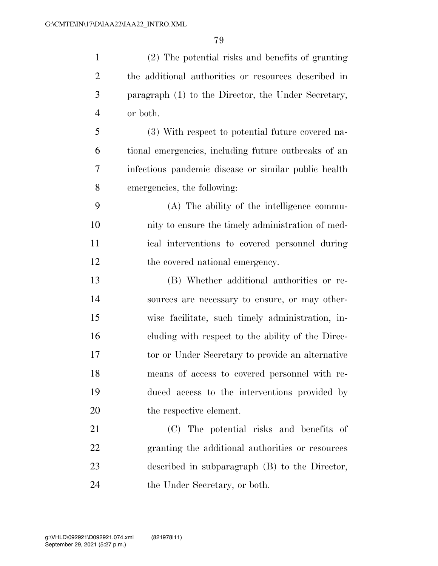(2) The potential risks and benefits of granting

 the additional authorities or resources described in paragraph (1) to the Director, the Under Secretary, or both. (3) With respect to potential future covered na- tional emergencies, including future outbreaks of an infectious pandemic disease or similar public health emergencies, the following: (A) The ability of the intelligence commu- nity to ensure the timely administration of med- ical interventions to covered personnel during 12 the covered national emergency. (B) Whether additional authorities or re- sources are necessary to ensure, or may other- wise facilitate, such timely administration, in- cluding with respect to the ability of the Direc- tor or Under Secretary to provide an alternative means of access to covered personnel with re- duced access to the interventions provided by the respective element. (C) The potential risks and benefits of granting the additional authorities or resources described in subparagraph (B) to the Director, the Under Secretary, or both.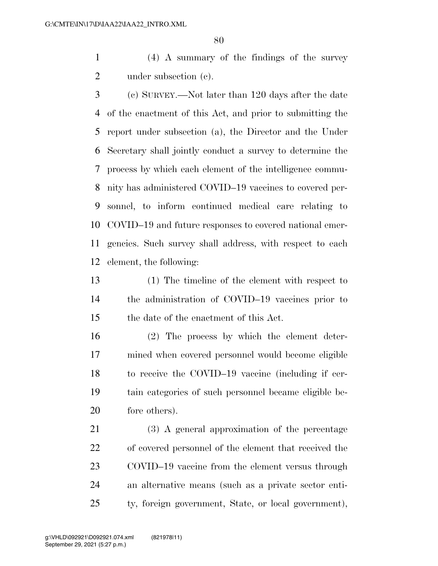(4) A summary of the findings of the survey 2 under subsection (c).

 (c) SURVEY.—Not later than 120 days after the date of the enactment of this Act, and prior to submitting the report under subsection (a), the Director and the Under Secretary shall jointly conduct a survey to determine the process by which each element of the intelligence commu- nity has administered COVID–19 vaccines to covered per- sonnel, to inform continued medical care relating to COVID–19 and future responses to covered national emer- gencies. Such survey shall address, with respect to each element, the following:

 (1) The timeline of the element with respect to the administration of COVID–19 vaccines prior to the date of the enactment of this Act.

 (2) The process by which the element deter- mined when covered personnel would become eligible to receive the COVID–19 vaccine (including if cer- tain categories of such personnel became eligible be-fore others).

 (3) A general approximation of the percentage of covered personnel of the element that received the COVID–19 vaccine from the element versus through an alternative means (such as a private sector enti-ty, foreign government, State, or local government),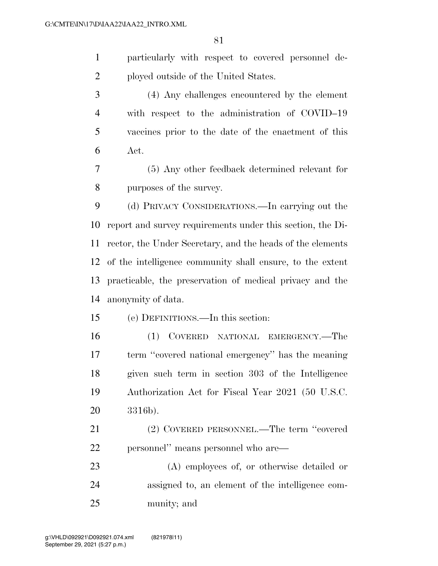particularly with respect to covered personnel de-ployed outside of the United States.

 (4) Any challenges encountered by the element with respect to the administration of COVID–19 vaccines prior to the date of the enactment of this Act.

 (5) Any other feedback determined relevant for purposes of the survey.

 (d) PRIVACY CONSIDERATIONS.—In carrying out the report and survey requirements under this section, the Di- rector, the Under Secretary, and the heads of the elements of the intelligence community shall ensure, to the extent practicable, the preservation of medical privacy and the anonymity of data.

(e) DEFINITIONS.—In this section:

 (1) COVERED NATIONAL EMERGENCY.—The term ''covered national emergency'' has the meaning given such term in section 303 of the Intelligence Authorization Act for Fiscal Year 2021 (50 U.S.C. 3316b).

 (2) COVERED PERSONNEL.—The term ''covered personnel'' means personnel who are—

 (A) employees of, or otherwise detailed or assigned to, an element of the intelligence com-munity; and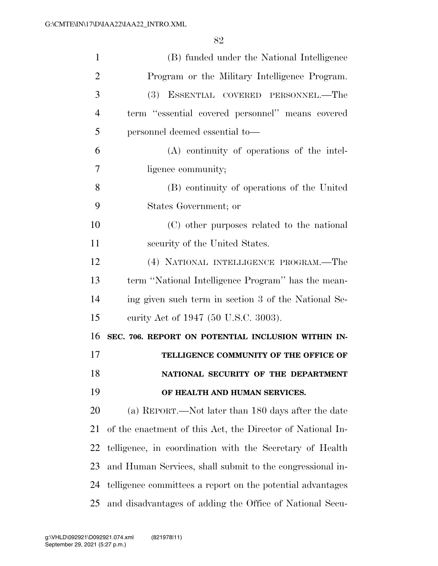| 1              | (B) funded under the National Intelligence                 |
|----------------|------------------------------------------------------------|
| $\overline{2}$ | Program or the Military Intelligence Program.              |
| 3              | (3) ESSENTIAL COVERED PERSONNEL.—The                       |
| $\overline{4}$ | term "essential covered personnel" means covered           |
| 5              | personnel deemed essential to-                             |
| 6              | (A) continuity of operations of the intel-                 |
| 7              | ligence community;                                         |
| 8              | (B) continuity of operations of the United                 |
| 9              | States Government; or                                      |
| 10             | (C) other purposes related to the national                 |
| 11             | security of the United States.                             |
| 12             | (4) NATIONAL INTELLIGENCE PROGRAM.—The                     |
| 13             | term "National Intelligence Program" has the mean-         |
| 14             | ing given such term in section 3 of the National Se-       |
| 15             | curity Act of 1947 (50 U.S.C. 3003).                       |
| 16             | SEC. 706. REPORT ON POTENTIAL INCLUSION WITHIN IN-         |
| 17             | TELLIGENCE COMMUNITY OF THE OFFICE OF                      |
| 18             | NATIONAL SECURITY OF THE DEPARTMENT                        |
| 19             | OF HEALTH AND HUMAN SERVICES.                              |
| 20             | (a) REPORT.—Not later than 180 days after the date         |
| 21             | of the enactment of this Act, the Director of National In- |
| 22             | telligence, in coordination with the Secretary of Health   |
| 23             | and Human Services, shall submit to the congressional in-  |
| 24             | telligence committees a report on the potential advantages |
| 25             | and disadvantages of adding the Office of National Secu-   |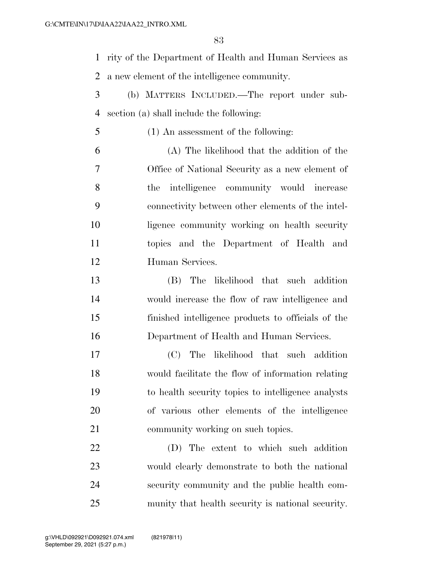rity of the Department of Health and Human Services as a new element of the intelligence community.

- (b) MATTERS INCLUDED.—The report under sub-section (a) shall include the following:
- (1) An assessment of the following:
- (A) The likelihood that the addition of the Office of National Security as a new element of the intelligence community would increase connectivity between other elements of the intel- ligence community working on health security topics and the Department of Health and Human Services.
- (B) The likelihood that such addition would increase the flow of raw intelligence and finished intelligence products to officials of the Department of Health and Human Services.
- (C) The likelihood that such addition would facilitate the flow of information relating to health security topics to intelligence analysts of various other elements of the intelligence 21 community working on such topics.
- (D) The extent to which such addition would clearly demonstrate to both the national security community and the public health com-munity that health security is national security.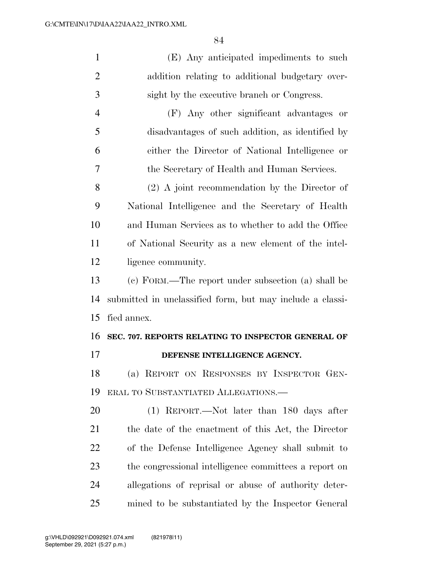| $\mathbf{1}$   | (E) Any anticipated impediments to such                   |
|----------------|-----------------------------------------------------------|
| $\overline{2}$ | addition relating to additional budgetary over-           |
| 3              | sight by the executive branch or Congress.                |
| $\overline{4}$ | (F) Any other significant advantages<br>or                |
| 5              | disadvantages of such addition, as identified by          |
| 6              | either the Director of National Intelligence or           |
| 7              | the Secretary of Health and Human Services.               |
| 8              | $(2)$ A joint recommendation by the Director of           |
| 9              | National Intelligence and the Secretary of Health         |
| 10             | and Human Services as to whether to add the Office        |
| 11             | of National Security as a new element of the intel-       |
| 12             | ligence community.                                        |
| 13             | (c) FORM.—The report under subsection (a) shall be        |
| 14             | submitted in unclassified form, but may include a classi- |
| 15             | fied annex.                                               |
| 16             | SEC. 707. REPORTS RELATING TO INSPECTOR GENERAL OF        |
| 17             | DEFENSE INTELLIGENCE AGENCY.                              |
| 18             | (a) REPORT ON RESPONSES BY INSPECTOR GEN-                 |
| 19             | ERAL TO SUBSTANTIATED ALLEGATIONS.—                       |
| 20             | (1) REPORT.—Not later than 180 days after                 |
| 21             | the date of the enactment of this Act, the Director       |
| 22             | of the Defense Intelligence Agency shall submit to        |
| 23             | the congressional intelligence committees a report on     |
| 24             |                                                           |
|                | allegations of reprisal or abuse of authority deter-      |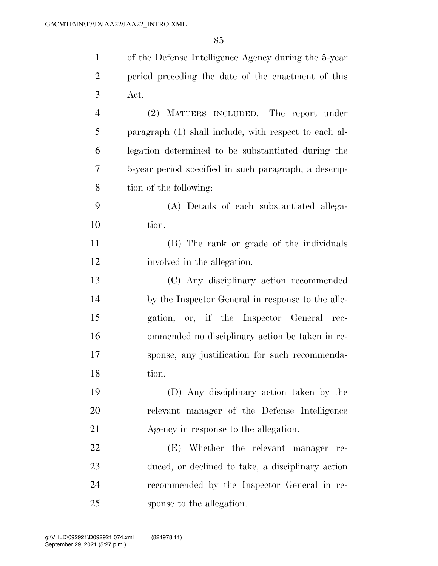| $\mathbf{1}$   | of the Defense Intelligence Agency during the 5-year  |
|----------------|-------------------------------------------------------|
| $\overline{2}$ | period preceding the date of the enactment of this    |
| 3              | Act.                                                  |
| $\overline{4}$ | (2) MATTERS INCLUDED.—The report under                |
| 5              | paragraph (1) shall include, with respect to each al- |
| 6              | legation determined to be substantiated during the    |
| 7              | 5-year period specified in such paragraph, a descrip- |
| 8              | tion of the following:                                |
| 9              | (A) Details of each substantiated allega-             |
| 10             | tion.                                                 |
| 11             | (B) The rank or grade of the individuals              |
| 12             | involved in the allegation.                           |
| 13             | (C) Any disciplinary action recommended               |
| 14             | by the Inspector General in response to the alle-     |
| 15             | gation, or, if the Inspector General rec-             |
| 16             | ommended no disciplinary action be taken in re-       |
| 17             | sponse, any justification for such recommenda-        |
| 18             | tion.                                                 |
| 19             | (D) Any disciplinary action taken by the              |
| 20             | relevant manager of the Defense Intelligence          |
| 21             | Agency in response to the allegation.                 |
| 22             | (E) Whether the relevant manager re-                  |
| 23             | duced, or declined to take, a disciplinary action     |
| 24             | recommended by the Inspector General in re-           |
| 25             | sponse to the allegation.                             |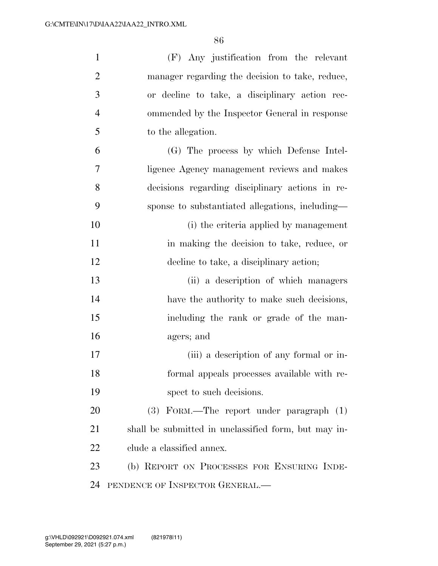| $\mathbf{1}$   | (F) Any justification from the relevant              |
|----------------|------------------------------------------------------|
| $\overline{2}$ | manager regarding the decision to take, reduce,      |
| 3              | or decline to take, a disciplinary action rec-       |
| $\overline{4}$ | ommended by the Inspector General in response        |
| 5              | to the allegation.                                   |
| 6              | (G) The process by which Defense Intel-              |
| $\overline{7}$ | ligence Agency management reviews and makes          |
| 8              | decisions regarding disciplinary actions in re-      |
| 9              | sponse to substantiated allegations, including-      |
| 10             | (i) the criteria applied by management               |
| 11             | in making the decision to take, reduce, or           |
| 12             | decline to take, a disciplinary action;              |
| 13             | (ii) a description of which managers                 |
| 14             | have the authority to make such decisions,           |
| 15             | including the rank or grade of the man-              |
| 16             | agers; and                                           |
| 17             | (iii) a description of any formal or in-             |
| 18             | formal appeals processes available with re-          |
| 19             | spect to such decisions.                             |
| 20             | $(3)$ FORM.—The report under paragraph $(1)$         |
| 21             | shall be submitted in unclassified form, but may in- |
| 22             | clude a classified annex.                            |
| 23             | (b) REPORT ON PROCESSES FOR ENSURING INDE-           |
| 24             | PENDENCE OF INSPECTOR GENERAL.                       |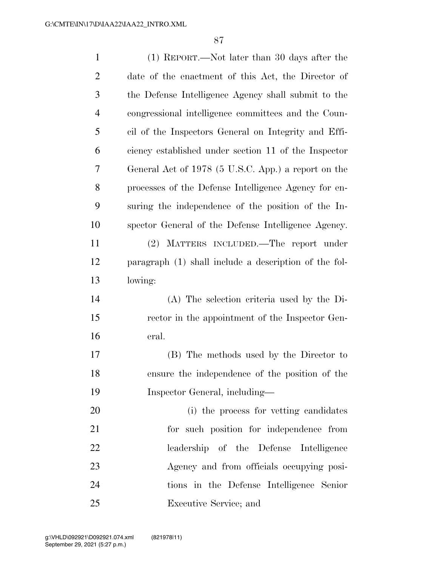| $\mathbf{1}$   | (1) REPORT.—Not later than 30 days after the          |
|----------------|-------------------------------------------------------|
| $\overline{2}$ | date of the enactment of this Act, the Director of    |
| 3              | the Defense Intelligence Agency shall submit to the   |
| $\overline{4}$ | congressional intelligence committees and the Coun-   |
| 5              | cil of the Inspectors General on Integrity and Effi-  |
| 6              | ciency established under section 11 of the Inspector  |
| 7              | General Act of 1978 (5 U.S.C. App.) a report on the   |
| 8              | processes of the Defense Intelligence Agency for en-  |
| 9              | suring the independence of the position of the In-    |
| 10             | spector General of the Defense Intelligence Agency.   |
| 11             | (2) MATTERS INCLUDED.—The report under                |
| 12             | paragraph (1) shall include a description of the fol- |
| 13             | lowing:                                               |
| 14             | (A) The selection criteria used by the Di-            |
| 15             | rector in the appointment of the Inspector Gen-       |
| 16             | eral.                                                 |
| 17             | (B) The methods used by the Director to               |
| 18             | ensure the independence of the position of the        |
| 19             | Inspector General, including—                         |
| 20             | (i) the process for vetting candidates                |
| 21             | for such position for independence from               |
| 22             | leadership of the Defense Intelligence                |
| 23             | Agency and from officials occupying posi-             |
| 24             | tions in the Defense Intelligence Senior              |
| 25             | Executive Service; and                                |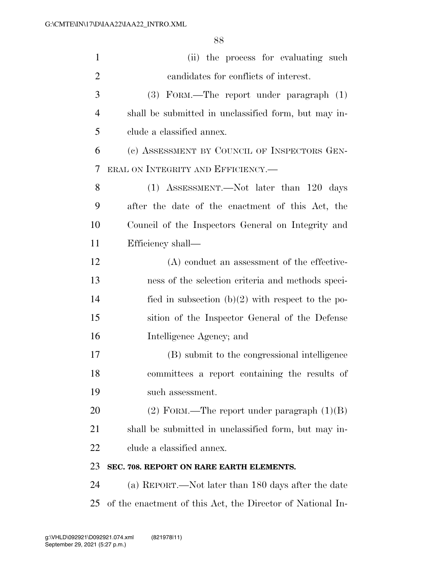| $\mathbf{1}$   | (ii) the process for evaluating such                       |
|----------------|------------------------------------------------------------|
| $\overline{2}$ | candidates for conflicts of interest.                      |
| 3              | (3) FORM.—The report under paragraph (1)                   |
| $\overline{4}$ | shall be submitted in unclassified form, but may in-       |
| 5              | clude a classified annex.                                  |
| 6              | (c) ASSESSMENT BY COUNCIL OF INSPECTORS GEN-               |
| 7              | ERAL ON INTEGRITY AND EFFICIENCY.-                         |
| 8              | (1) ASSESSMENT.—Not later than 120 days                    |
| 9              | after the date of the enactment of this Act, the           |
| 10             | Council of the Inspectors General on Integrity and         |
| 11             | Efficiency shall—                                          |
| 12             | (A) conduct an assessment of the effective-                |
| 13             | ness of the selection criteria and methods speci-          |
| 14             | fied in subsection $(b)(2)$ with respect to the po-        |
| 15             | sition of the Inspector General of the Defense             |
| 16             | Intelligence Agency; and                                   |
| 17             | (B) submit to the congressional intelligence               |
| 18             | committees a report containing the results of              |
| 19             | such assessment.                                           |
| 20             | $(2)$ FORM.—The report under paragraph $(1)(B)$            |
| 21             | shall be submitted in unclassified form, but may in-       |
| 22             | clude a classified annex.                                  |
| 23             | SEC. 708. REPORT ON RARE EARTH ELEMENTS.                   |
| 24             | (a) REPORT.—Not later than 180 days after the date         |
| 25             | of the enactment of this Act, the Director of National In- |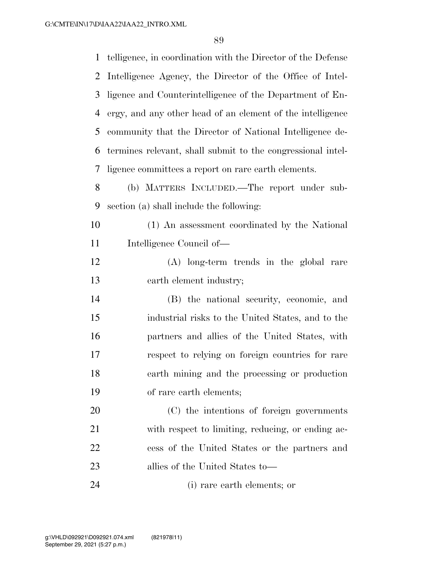| telligence, in coordination with the Director of the Defense |
|--------------------------------------------------------------|
| Intelligence Agency, the Director of the Office of Intel-    |
| ligence and Counterintelligence of the Department of En-     |
| ergy, and any other head of an element of the intelligence   |
| community that the Director of National Intelligence de-     |
| termines relevant, shall submit to the congressional intel-  |
| ligence committees a report on rare earth elements.          |
| (b) MATTERS INCLUDED.—The report under sub-                  |
| section (a) shall include the following:                     |
| (1) An assessment coordinated by the National                |
| Intelligence Council of-                                     |
| (A) long-term trends in the global rare                      |
| earth element industry;                                      |
| (B) the national security, economic, and                     |
| industrial risks to the United States, and to the            |
| partners and allies of the United States, with               |
| respect to relying on foreign countries for rare             |
| earth mining and the processing or production                |
| of rare earth elements;                                      |
| (C) the intentions of foreign governments                    |
| with respect to limiting, reducing, or ending ac-            |
| cess of the United States or the partners and                |
| allies of the United States to—                              |
|                                                              |

(i) rare earth elements; or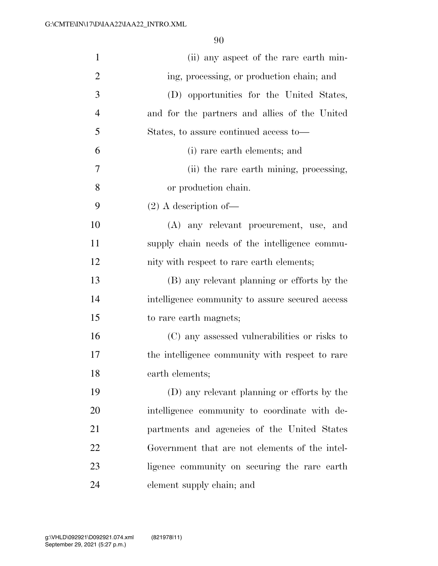| $\mathbf{1}$   | (ii) any aspect of the rare earth min-          |
|----------------|-------------------------------------------------|
| $\overline{2}$ | ing, processing, or production chain; and       |
| 3              | (D) opportunities for the United States,        |
| $\overline{4}$ | and for the partners and allies of the United   |
| 5              | States, to assure continued access to—          |
| 6              | (i) rare earth elements; and                    |
| $\overline{7}$ | (ii) the rare earth mining, processing,         |
| 8              | or production chain.                            |
| 9              | $(2)$ A description of —                        |
| 10             | (A) any relevant procurement, use, and          |
| 11             | supply chain needs of the intelligence commu-   |
| 12             | nity with respect to rare earth elements;       |
| 13             | (B) any relevant planning or efforts by the     |
| 14             | intelligence community to assure secured access |
| 15             | to rare earth magnets;                          |
| 16             | (C) any assessed vulnerabilities or risks to    |
| 17             | the intelligence community with respect to rare |
| 18             | earth elements;                                 |
| 19             | (D) any relevant planning or efforts by the     |
| 20             | intelligence community to coordinate with de-   |
| 21             | partments and agencies of the United States     |
| 22             | Government that are not elements of the intel-  |
| 23             | ligence community on securing the rare earth    |
| 24             | element supply chain; and                       |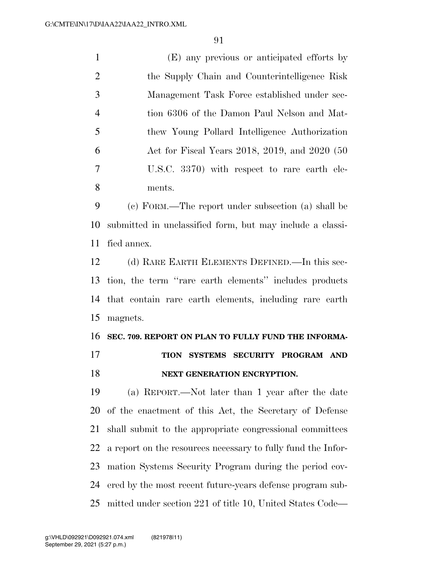(E) any previous or anticipated efforts by the Supply Chain and Counterintelligence Risk Management Task Force established under sec- tion 6306 of the Damon Paul Nelson and Mat- thew Young Pollard Intelligence Authorization Act for Fiscal Years 2018, 2019, and 2020 (50 U.S.C. 3370) with respect to rare earth ele-ments.

 (c) FORM.—The report under subsection (a) shall be submitted in unclassified form, but may include a classi-fied annex.

 (d) RARE EARTH ELEMENTS DEFINED.—In this sec- tion, the term ''rare earth elements'' includes products that contain rare earth elements, including rare earth magnets.

**SEC. 709. REPORT ON PLAN TO FULLY FUND THE INFORMA-**

**TION SYSTEMS SECURITY PROGRAM AND** 

## **NEXT GENERATION ENCRYPTION.**

 (a) REPORT.—Not later than 1 year after the date of the enactment of this Act, the Secretary of Defense shall submit to the appropriate congressional committees a report on the resources necessary to fully fund the Infor- mation Systems Security Program during the period cov- ered by the most recent future-years defense program sub-mitted under section 221 of title 10, United States Code—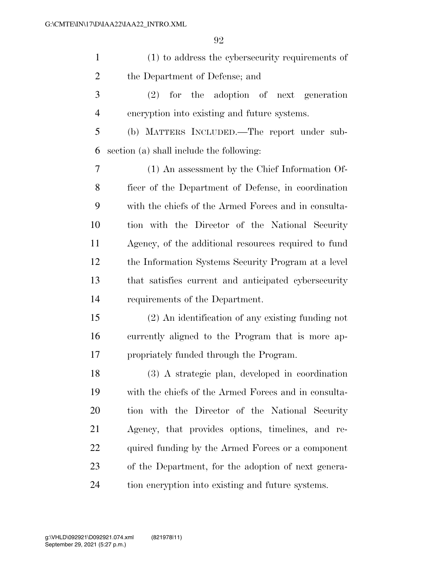| $\mathbf{1}$   | (1) to address the cybersecurity requirements of     |
|----------------|------------------------------------------------------|
| $\overline{2}$ | the Department of Defense; and                       |
| 3              | $(2)$ for the adoption of next generation            |
| $\overline{4}$ | encryption into existing and future systems.         |
| 5              | (b) MATTERS INCLUDED.—The report under sub-          |
| 6              | section (a) shall include the following:             |
| $\overline{7}$ | (1) An assessment by the Chief Information Of-       |
| 8              | ficer of the Department of Defense, in coordination  |
| 9              | with the chiefs of the Armed Forces and in consulta- |
| 10             | tion with the Director of the National Security      |
| 11             | Agency, of the additional resources required to fund |
| 12             | the Information Systems Security Program at a level  |
| 13             | that satisfies current and anticipated cybersecurity |
| 14             | requirements of the Department.                      |
| 15             | (2) An identification of any existing funding not    |
| 16             | currently aligned to the Program that is more ap-    |
| 17             | propriately funded through the Program.              |
| 18             | (3) A strategic plan, developed in coordination      |
| 19             | with the chiefs of the Armed Forces and in consulta- |
| 20             | tion with the Director of the National Security      |
| 21             | Agency, that provides options, timelines, and re-    |
| 22             | quired funding by the Armed Forces or a component    |
| 23             | of the Department, for the adoption of next genera-  |
| 24             | tion encryption into existing and future systems.    |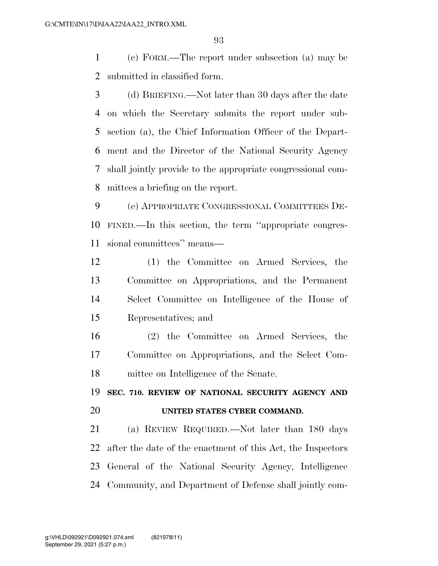(c) FORM.—The report under subsection (a) may be submitted in classified form.

 (d) BRIEFING.—Not later than 30 days after the date on which the Secretary submits the report under sub- section (a), the Chief Information Officer of the Depart- ment and the Director of the National Security Agency shall jointly provide to the appropriate congressional com-mittees a briefing on the report.

 (e) APPROPRIATE CONGRESSIONAL COMMITTEES DE- FINED.—In this section, the term ''appropriate congres-sional committees'' means—

 (1) the Committee on Armed Services, the Committee on Appropriations, and the Permanent Select Committee on Intelligence of the House of Representatives; and

 (2) the Committee on Armed Services, the Committee on Appropriations, and the Select Com-mittee on Intelligence of the Senate.

 **SEC. 710. REVIEW OF NATIONAL SECURITY AGENCY AND UNITED STATES CYBER COMMAND.** 

 (a) REVIEW REQUIRED.—Not later than 180 days after the date of the enactment of this Act, the Inspectors General of the National Security Agency, Intelligence Community, and Department of Defense shall jointly com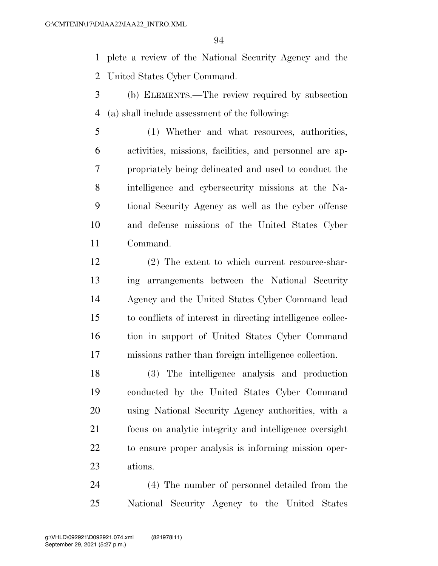plete a review of the National Security Agency and the United States Cyber Command.

- (b) ELEMENTS.—The review required by subsection (a) shall include assessment of the following:
- (1) Whether and what resources, authorities, activities, missions, facilities, and personnel are ap- propriately being delineated and used to conduct the intelligence and cybersecurity missions at the Na- tional Security Agency as well as the cyber offense and defense missions of the United States Cyber Command.
- (2) The extent to which current resource-shar- ing arrangements between the National Security Agency and the United States Cyber Command lead to conflicts of interest in directing intelligence collec- tion in support of United States Cyber Command missions rather than foreign intelligence collection.

 (3) The intelligence analysis and production conducted by the United States Cyber Command using National Security Agency authorities, with a focus on analytic integrity and intelligence oversight to ensure proper analysis is informing mission oper-ations.

 (4) The number of personnel detailed from the National Security Agency to the United States